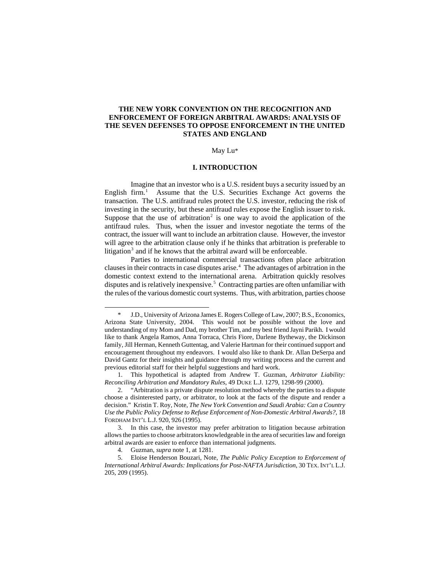# **THE NEW YORK CONVENTION ON THE RECOGNITION AND ENFORCEMENT OF FOREIGN ARBITRAL AWARDS: ANALYSIS OF THE SEVEN DEFENSES TO OPPOSE ENFORCEMENT IN THE UNITED STATES AND ENGLAND**

# May Lu\*

## **I. INTRODUCTION**

 Imagine that an investor who is a U.S. resident buys a security issued by an English  $firm.<sup>1</sup>$  $firm.<sup>1</sup>$  $firm.<sup>1</sup>$  Assume that the U.S. Securities Exchange Act governs the transaction. The U.S. antifraud rules protect the U.S. investor, reducing the risk of investing in the security, but these antifraud rules expose the English issuer to risk. Suppose that the use of arbitration<sup>[2](#page-0-1)</sup> is one way to avoid the application of the antifraud rules. Thus, when the issuer and investor negotiate the terms of the contract, the issuer will want to include an arbitration clause. However, the investor will agree to the arbitration clause only if he thinks that arbitration is preferable to litigation<sup>[3](#page-0-2)</sup> and if he knows that the arbitral award will be enforceable.

 Parties to international commercial transactions often place arbitration clauses in their contracts in case disputes arise.[4](#page-0-3) The advantages of arbitration in the domestic context extend to the international arena. Arbitration quickly resolves disputes and is relatively inexpensive.<sup>[5](#page-0-4)</sup> Contracting parties are often unfamiliar with the rules of the various domestic court systems. Thus, with arbitration, parties choose

-

<span id="page-0-0"></span><sup>\*</sup> J.D., University of Arizona James E. Rogers College of Law, 2007; B.S., Economics, Arizona State University, 2004. This would not be possible without the love and understanding of my Mom and Dad, my brother Tim, and my best friend Jayni Parikh. I would like to thank Angela Ramos, Anna Torraca, Chris Fiore, Darlene Bytheway, the Dickinson family, Jill Herman, Kenneth Guttentag, and Valerie Hartman for their continued support and encouragement throughout my endeavors. I would also like to thank Dr. Allan DeSerpa and David Gantz for their insights and guidance through my writing process and the current and previous editorial staff for their helpful suggestions and hard work.

<sup>1.</sup> This hypothetical is adapted from Andrew T. Guzman, *Arbitrator Liability: Reconciling Arbitration and Mandatory Rules*, 49 DUKE L.J. 1279, 1298-99 (2000).

<span id="page-0-1"></span><sup>2. &</sup>quot;Arbitration is a private dispute resolution method whereby the parties to a dispute choose a disinterested party, or arbitrator, to look at the facts of the dispute and render a decision." Kristin T. Roy, Note, *The New York Convention and Saudi Arabia: Can a Country Use the Public Policy Defense to Refuse Enforcement of Non-Domestic Arbitral Awards?*, 18 FORDHAM INT'L L.J. 920, 926 (1995).

<span id="page-0-2"></span><sup>3.</sup> In this case, the investor may prefer arbitration to litigation because arbitration allows the parties to choose arbitrators knowledgeable in the area of securities law and foreign arbitral awards are easier to enforce than international judgments.

<sup>4.</sup> Guzman, *supra* note 1, at 1281.

<span id="page-0-4"></span><span id="page-0-3"></span><sup>5.</sup> Eloise Henderson Bouzari, Note, *The Public Policy Exception to Enforcement of International Arbitral Awards: Implications for Post-NAFTA Jurisdiction*, 30 TEX. INT'L L.J. 205, 209 (1995).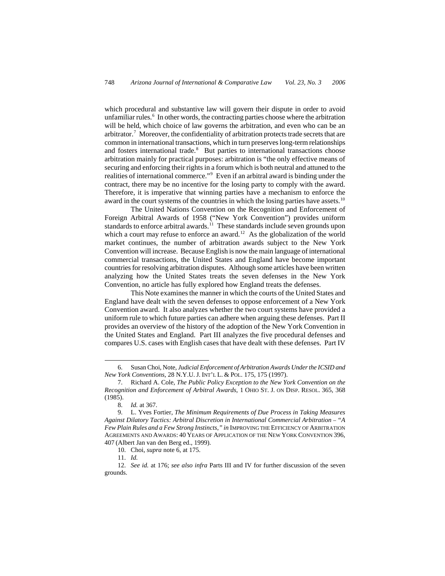which procedural and substantive law will govern their dispute in order to avoid unfamiliar rules.<sup>[6](#page-1-0)</sup> In other words, the contracting parties choose where the arbitration will be held, which choice of law governs the arbitration, and even who can be an arbitrator.<sup>[7](#page-1-1)</sup> Moreover, the confidentiality of arbitration protects trade secrets that are common in international transactions, which in turn preserves long-term relationships and fosters international trade.<sup>[8](#page-1-2)</sup> But parties to international transactions choose arbitration mainly for practical purposes: arbitration is "the only effective means of securing and enforcing their rights in a forum which is both neutral and attuned to the realities of international commerce."<sup>[9](#page-1-3)</sup> Even if an arbitral award is binding under the contract, there may be no incentive for the losing party to comply with the award. Therefore, it is imperative that winning parties have a mechanism to enforce the award in the court systems of the countries in which the losing parties have assets.<sup>[10](#page-1-4)</sup>

 The United Nations Convention on the Recognition and Enforcement of Foreign Arbitral Awards of 1958 ("New York Convention") provides uniform standards to enforce arbitral awards.<sup>[11](#page-1-5)</sup> These standards include seven grounds upon which a court may refuse to enforce an award.<sup>[12](#page-1-6)</sup> As the globalization of the world market continues, the number of arbitration awards subject to the New York Convention will increase. Because English is now the main language of international commercial transactions, the United States and England have become important countries for resolving arbitration disputes. Although some articles have been written analyzing how the United States treats the seven defenses in the New York Convention, no article has fully explored how England treats the defenses.

 This Note examines the manner in which the courts of the United States and England have dealt with the seven defenses to oppose enforcement of a New York Convention award. It also analyzes whether the two court systems have provided a uniform rule to which future parties can adhere when arguing these defenses. Part II provides an overview of the history of the adoption of the New York Convention in the United States and England. Part III analyzes the five procedural defenses and compares U.S. cases with English cases that have dealt with these defenses. Part IV

 $\overline{a}$ 

<span id="page-1-0"></span><sup>6.</sup> Susan Choi, Note, *Judicial Enforcement of Arbitration Awards Under the ICSID and New York Conventions*, 28 N.Y.U. J. INT'L L. & POL. 175, 175 (1997).

<span id="page-1-1"></span><sup>7.</sup> Richard A. Cole, *The Public Policy Exception to the New York Convention on the Recognition and Enforcement of Arbitral Awards*, 1 OHIO ST. J. ON DISP. RESOL. 365, 368 (1985).

<sup>8.</sup> *Id.* at 367.

<span id="page-1-3"></span><span id="page-1-2"></span><sup>9.</sup> L. Yves Fortier, *The Minimum Requirements of Due Process in Taking Measures Against Dilatory Tactics: Arbitral Discretion in International Commercial Arbitration – "A Few Plain Rules and a Few Strong Instincts*,*" in* IMPROVING THE EFFICIENCY OF ARBITRATION AGREEMENTS AND AWARDS: 40 YEARS OF APPLICATION OF THE NEW YORK CONVENTION 396, 407 (Albert Jan van den Berg ed., 1999).

<sup>10.</sup> Choi, *supra* note 6, at 175.

<sup>11.</sup> *Id.*

<span id="page-1-6"></span><span id="page-1-5"></span><span id="page-1-4"></span><sup>12.</sup> *See id.* at 176; *see also infra* Parts III and IV for further discussion of the seven grounds.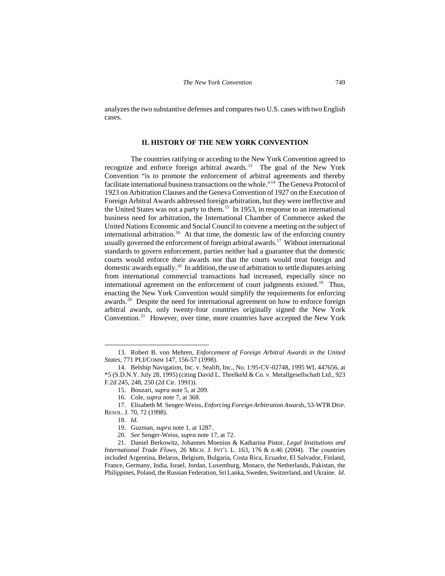analyzes the two substantive defenses and compares two U.S. cases with two English cases.

## **II. HISTORY OF THE NEW YORK CONVENTION**

 The countries ratifying or acceding to the New York Convention agreed to recognize and enforce foreign arbitral awards.<sup>[13](#page-2-0)</sup> The goal of the New York Convention "is to promote the enforcement of arbitral agreements and thereby facilitate international business transactions on the whole."<sup>[14](#page-2-1)</sup> The Geneva Protocol of 1923 on Arbitration Clauses and the Geneva Convention of 1927 on the Execution of Foreign Arbitral Awards addressed foreign arbitration, but they were ineffective and the United States was not a party to them.<sup>[15](#page-2-2)</sup> In 1953, in response to an international business need for arbitration, the International Chamber of Commerce asked the United Nations Economic and Social Council to convene a meeting on the subject of international arbitration.<sup>[16](#page-2-3)</sup> At that time, the domestic law of the enforcing country usually governed the enforcement of foreign arbitral awards.<sup>[17](#page-2-4)</sup> Without international standards to govern enforcement, parties neither had a guarantee that the domestic courts would enforce their awards nor that the courts would treat foreign and domestic awards equally.<sup>[18](#page-2-5)</sup> In addition, the use of arbitration to settle disputes arising from international commercial transactions had increased, especially since no international agreement on the enforcement of court judgments existed.<sup>[19](#page-2-6)</sup> Thus, enacting the New York Convention would simplify the requirements for enforcing awards.<sup>[20](#page-2-7)</sup> Despite the need for international agreement on how to enforce foreign arbitral awards, only twenty-four countries originally signed the New York Convention.[21](#page-2-8) However, over time, more countries have accepted the New York

-

<span id="page-2-0"></span><sup>13.</sup> Robert B. von Mehren, *Enforcement of Foreign Arbitral Awards in the United States*, 771 PLI/COMM 147, 156-57 (1998).

<span id="page-2-1"></span><sup>14.</sup> Belship Navigation, Inc. v. Sealift, Inc., No. 1:95-CV-02748, 1995 WL 447656, at \*5 (S.D.N.Y. July 28, 1995) (citing David L. Threlkeld & Co. v. Metallgesellschaft Ltd., 923 F.2d 245, 248, 250 (2d Cir. 1991)).

<sup>15.</sup> Bouzari, *supra* note 5, at 209.

<sup>16.</sup> Cole, *supra* note 7, at 368.

<span id="page-2-5"></span><span id="page-2-4"></span><span id="page-2-3"></span><span id="page-2-2"></span><sup>17.</sup> Elisabeth M. Senger-Weiss, *Enforcing Foreign Arbitration Awards*, 53-WTR DISP. RESOL. J. 70, 72 (1998).

<sup>18.</sup> *Id.*

<sup>19.</sup> Guzman, *supra* note 1, at 1287.

<sup>20.</sup> *See* Senger-Weiss, *supra* note 17, at 72.

<span id="page-2-8"></span><span id="page-2-7"></span><span id="page-2-6"></span><sup>21.</sup> Daniel Berkowitz, Johannes Moenius & Katharina Pistor, *Legal Institutions and International Trade Flows*, 26 MICH. J. INT'L L. 163, 176 & n.46 (2004). The countries included Argentina, Belarus, Belgium, Bulgaria, Costa Rica, Ecuador, El Salvador, Finland, France, Germany, India, Israel, Jordan, Luxemburg, Monaco, the Netherlands, Pakistan, the Philippines, Poland, the Russian Federation, Sri Lanka, Sweden, Switzerland, and Ukraine. *Id*.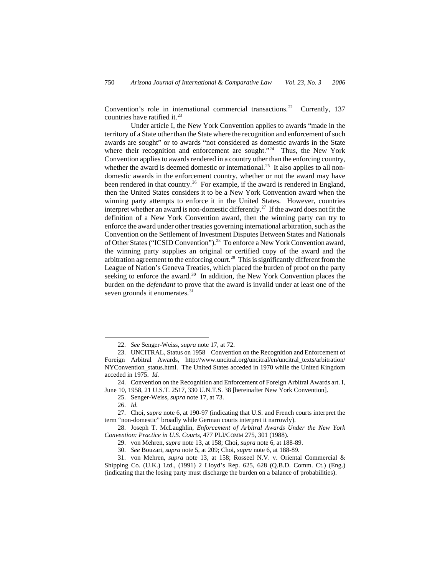Convention's role in international commercial transactions.<sup>[22](#page-3-0)</sup> Currently, 137 countries have ratified it.<sup>[23](#page-3-1)</sup>

 Under article I, the New York Convention applies to awards "made in the territory of a State other than the State where the recognition and enforcement of such awards are sought" or to awards "not considered as domestic awards in the State where their recognition and enforcement are sought."<sup>[24](#page-3-2)</sup> Thus, the New York Convention applies to awards rendered in a country other than the enforcing country, whether the award is deemed domestic or international.<sup>[25](#page-3-3)</sup> It also applies to all nondomestic awards in the enforcement country, whether or not the award may have been rendered in that country.<sup>[26](#page-3-4)</sup> For example, if the award is rendered in England, then the United States considers it to be a New York Convention award when the winning party attempts to enforce it in the United States. However, countries interpret whether an award is non-domestic differently.<sup>[27](#page-3-5)</sup> If the award does not fit the definition of a New York Convention award, then the winning party can try to enforce the award under other treaties governing international arbitration, such as the Convention on the Settlement of Investment Disputes Between States and Nationals of Other States ("ICSID Convention").<sup>[28](#page-3-6)</sup> To enforce a New York Convention award, the winning party supplies an original or certified copy of the award and the arbitration agreement to the enforcing court.<sup>[29](#page-3-7)</sup> This is significantly different from the League of Nation's Geneva Treaties, which placed the burden of proof on the party seeking to enforce the award.<sup>[30](#page-3-8)</sup> In addition, the New York Convention places the burden on the *defendant* to prove that the award is invalid under at least one of the seven grounds it enumerates.<sup>[31](#page-3-9)</sup>

25. Senger-Weiss, *supra* note 17, at 73.

 $\overline{a}$ 

<sup>22.</sup> *See* Senger-Weiss, *supra* note 17, at 72.

<span id="page-3-1"></span><span id="page-3-0"></span><sup>23.</sup> UNCITRAL, Status on 1958 – Convention on the Recognition and Enforcement of Foreign Arbitral Awards, http://www.uncitral.org/uncitral/en/uncitral\_texts/arbitration/ NYConvention\_status.html. The United States acceded in 1970 while the United Kingdom acceded in 1975. *Id*.

<span id="page-3-3"></span><span id="page-3-2"></span><sup>24.</sup> Convention on the Recognition and Enforcement of Foreign Arbitral Awards art. I, June 10, 1958, 21 U.S.T. 2517, 330 U.N.T.S. 38 [hereinafter New York Convention].

<sup>26.</sup> *Id.* 

<span id="page-3-4"></span><sup>27.</sup> Choi, *supra* note 6, at 190-97 (indicating that U.S. and French courts interpret the term "non-domestic" broadly while German courts interpret it narrowly).

<span id="page-3-7"></span><span id="page-3-6"></span><span id="page-3-5"></span><sup>28.</sup> Joseph T. McLaughlin, *Enforcement of Arbitral Awards Under the New York Convention: Practice in U.S. Courts*, 477 PLI/COMM 275, 301 (1988).

<sup>29.</sup> von Mehren, *supra* note 13, at 158; Choi, *supra* note 6, at 188-89.

<sup>30.</sup> *See* Bouzari, *supra* note 5, at 209; Choi, *supra* note 6, at 188-89.

<span id="page-3-9"></span><span id="page-3-8"></span><sup>31.</sup> von Mehren, *supra* note 13, at 158; Rosseel N.V. v. Oriental Commercial & Shipping Co. (U.K.) Ltd., (1991) 2 Lloyd's Rep. 625, 628 (Q.B.D. Comm. Ct.) (Eng.) (indicating that the losing party must discharge the burden on a balance of probabilities).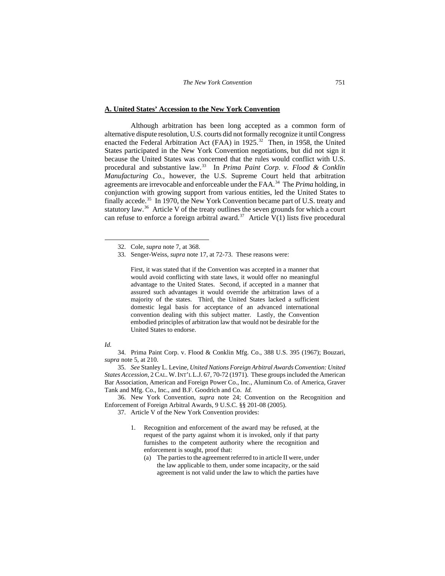### **A. United States' Accession to the New York Convention**

 Although arbitration has been long accepted as a common form of alternative dispute resolution, U.S. courts did not formally recognize it until Congress enacted the Federal Arbitration Act (FAA) in 1925.<sup>[32](#page-4-0)</sup> Then, in 1958, the United States participated in the New York Convention negotiations, but did not sign it because the United States was concerned that the rules would conflict with U.S. procedural and substantive law.[33](#page-4-1) In *Prima Paint Corp. v. Flood & Conklin Manufacturing Co.*, however, the U.S. Supreme Court held that arbitration agreements are irrevocable and enforceable under the FAA.[34](#page-4-2) The *Prima* holding, in conjunction with growing support from various entities, led the United States to finally accede.<sup>[35](#page-4-3)</sup> In 1970, the New York Convention became part of U.S. treaty and statutory law.<sup>[36](#page-4-4)</sup> Article V of the treaty outlines the seven grounds for which a court can refuse to enforce a foreign arbitral award.<sup>[37](#page-4-5)</sup> Article V(1) lists five procedural

First, it was stated that if the Convention was accepted in a manner that would avoid conflicting with state laws, it would offer no meaningful advantage to the United States. Second, if accepted in a manner that assured such advantages it would override the arbitration laws of a majority of the states. Third, the United States lacked a sufficient domestic legal basis for acceptance of an advanced international convention dealing with this subject matter. Lastly, the Convention embodied principles of arbitration law that would not be desirable for the United States to endorse.

### <span id="page-4-2"></span>*Id.*

<span id="page-4-1"></span><span id="page-4-0"></span> $\overline{a}$ 

34. Prima Paint Corp. v. Flood & Conklin Mfg. Co., 388 U.S. 395 (1967); Bouzari, *supra* note 5, at 210.

<span id="page-4-3"></span>35. *See* Stanley L. Levine, *United Nations Foreign Arbitral Awards Convention: United States Accession*, 2 CAL.W.INT'L L.J. 67, 70-72 (1971). These groups included the American Bar Association, American and Foreign Power Co., Inc., Aluminum Co. of America, Graver Tank and Mfg. Co., Inc., and B.F. Goodrich and Co. *Id.*

<span id="page-4-5"></span><span id="page-4-4"></span>36. New York Convention, *supra* note 24; Convention on the Recognition and Enforcement of Foreign Arbitral Awards, 9 U.S.C. §§ 201-08 (2005).

37. Article V of the New York Convention provides:

- 1. Recognition and enforcement of the award may be refused, at the request of the party against whom it is invoked, only if that party furnishes to the competent authority where the recognition and enforcement is sought, proof that:
	- (a) The parties to the agreement referred to in article II were, under the law applicable to them, under some incapacity, or the said agreement is not valid under the law to which the parties have

<sup>32.</sup> Cole, *supra* note 7, at 368.

<sup>33.</sup> Senger-Weiss, *supra* note 17, at 72-73. These reasons were: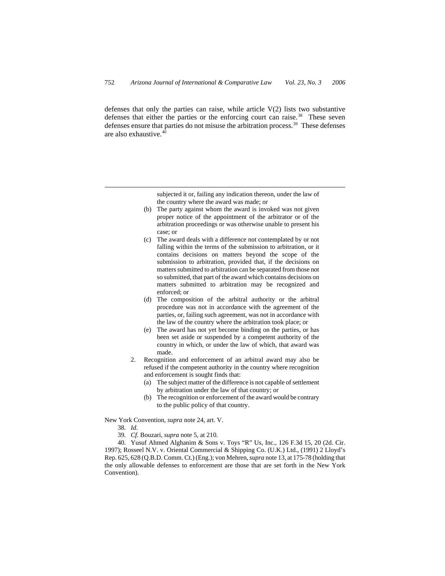defenses that only the parties can raise, while article  $V(2)$  lists two substantive defenses that either the parties or the enforcing court can raise.<sup>[38](#page-5-0)</sup> These seven defenses ensure that parties do not misuse the arbitration process.<sup>[39](#page-5-1)</sup> These defenses are also exhaustive.[40](#page-5-2)

> subjected it or, failing any indication thereon, under the law of the country where the award was made; or

- (b) The party against whom the award is invoked was not given proper notice of the appointment of the arbitrator or of the arbitration proceedings or was otherwise unable to present his case; or
- (c) The award deals with a difference not contemplated by or not falling within the terms of the submission to arbitration, or it contains decisions on matters beyond the scope of the submission to arbitration, provided that, if the decisions on matters submitted to arbitration can be separated from those not so submitted, that part of the award which contains decisions on matters submitted to arbitration may be recognized and enforced; or
- (d) The composition of the arbitral authority or the arbitral procedure was not in accordance with the agreement of the parties, or, failing such agreement, was not in accordance with the law of the country where the arbitration took place; or
- (e) The award has not yet become binding on the parties, or has been set aside or suspended by a competent authority of the country in which, or under the law of which, that award was made.
- 2. Recognition and enforcement of an arbitral award may also be refused if the competent authority in the country where recognition and enforcement is sought finds that:
	- (a) The subject matter of the difference is not capable of settlement by arbitration under the law of that country; or
	- (b) The recognition or enforcement of the award would be contrary to the public policy of that country.

<span id="page-5-0"></span>New York Convention, *supra* note 24, art. V.

38. *Id*.

 $\overline{a}$ 

39. *Cf.* Bouzari, *supra* note 5, at 210.

<span id="page-5-2"></span><span id="page-5-1"></span>40. Yusuf Ahmed Alghanim & Sons v. Toys "R" Us, Inc., 126 F.3d 15, 20 (2d. Cir. 1997); Rosseel N.V. v. Oriental Commercial & Shipping Co. (U.K.) Ltd., (1991) 2 Lloyd's Rep. 625, 628 (Q.B.D. Comm. Ct.) (Eng.); von Mehren, *supra* note 13, at 175-78 (holding that the only allowable defenses to enforcement are those that are set forth in the New York Convention).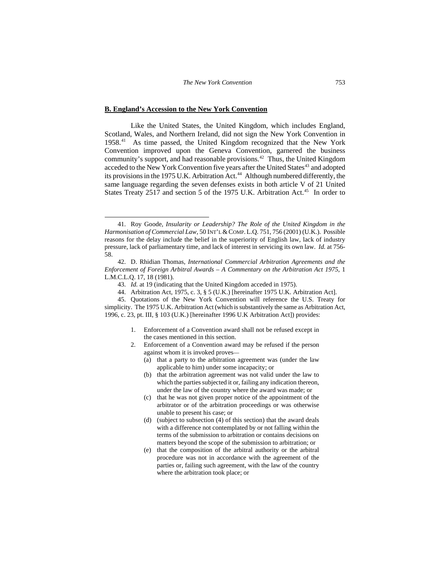### **B. England's Accession to the New York Convention**

1

 Like the United States, the United Kingdom, which includes England, Scotland, Wales, and Northern Ireland, did not sign the New York Convention in 1958.[41](#page-6-0) As time passed, the United Kingdom recognized that the New York Convention improved upon the Geneva Convention, garnered the business community's support, and had reasonable provisions.<sup>[42](#page-6-1)</sup> Thus, the United Kingdom acceded to the New York Convention five years after the United States<sup>[43](#page-6-2)</sup> and adopted its provisions in the 1975 U.K. Arbitration Act.<sup>[44](#page-6-3)</sup> Although numbered differently, the same language regarding the seven defenses exists in both article V of 21 United States Treaty 2517 and section 5 of the 1975 U.K. Arbitration Act.<sup>[45](#page-6-4)</sup> In order to

- 1. Enforcement of a Convention award shall not be refused except in the cases mentioned in this section.
- 2. Enforcement of a Convention award may be refused if the person against whom it is invoked proves—
	- (a) that a party to the arbitration agreement was (under the law applicable to him) under some incapacity; or
	- (b) that the arbitration agreement was not valid under the law to which the parties subjected it or, failing any indication thereon, under the law of the country where the award was made; or
	- (c) that he was not given proper notice of the appointment of the arbitrator or of the arbitration proceedings or was otherwise unable to present his case; or
	- (d) (subject to subsection (4) of this section) that the award deals with a difference not contemplated by or not falling within the terms of the submission to arbitration or contains decisions on matters beyond the scope of the submission to arbitration; or
	- (e) that the composition of the arbitral authority or the arbitral procedure was not in accordance with the agreement of the parties or, failing such agreement, with the law of the country where the arbitration took place; or

<span id="page-6-0"></span><sup>41.</sup> Roy Goode, *Insularity or Leadership? The Role of the United Kingdom in the Harmonisation of Commercial Law*, 50 INT'L & COMP. L.Q. 751, 756 (2001) (U.K.). Possible reasons for the delay include the belief in the superiority of English law, lack of industry pressure, lack of parliamentary time, and lack of interest in servicing its own law. *Id.* at 756- 58.

<span id="page-6-1"></span><sup>42.</sup> D. Rhidian Thomas, *International Commercial Arbitration Agreements and the Enforcement of Foreign Arbitral Awards – A Commentary on the Arbitration Act 1975*, 1 L.M.C.L.Q. 17, 18 (1981).

<sup>43.</sup> *Id.* at 19 (indicating that the United Kingdom acceded in 1975).

<sup>44.</sup> Arbitration Act, 1975, c. 3, § 5 (U.K.) [hereinafter 1975 U.K. Arbitration Act].

<span id="page-6-4"></span><span id="page-6-3"></span><span id="page-6-2"></span><sup>45.</sup> Quotations of the New York Convention will reference the U.S. Treaty for simplicity. The 1975 U.K. Arbitration Act (which is substantively the same as Arbitration Act, 1996, c. 23, pt. III, § 103 (U.K.) [hereinafter 1996 U.K Arbitration Act]) provides: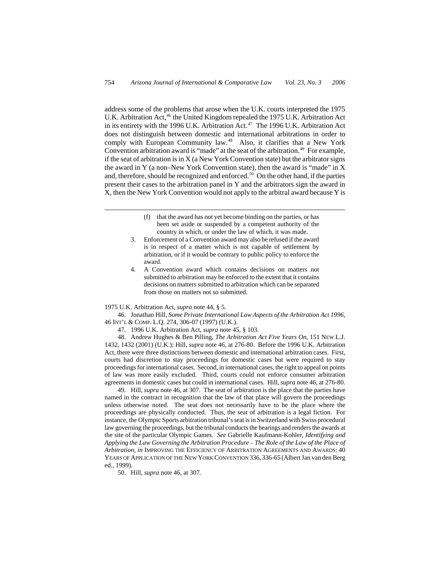address some of the problems that arose when the U.K. courts interpreted the 1975 U.K. Arbitration Act,<sup>[46](#page-7-0)</sup> the United Kingdom repealed the 1975 U.K. Arbitration Act in its entirety with the 1996 U.K. Arbitration Act.<sup>[47](#page-7-1)</sup> The 1996 U.K. Arbitration Act does not distinguish between domestic and international arbitrations in order to comply with European Community law.<sup>[48](#page-7-2)</sup> Also, it clarifies that a New York Convention arbitration award is "made" at the seat of the arbitration.<sup>[49](#page-7-3)</sup> For example, if the seat of arbitration is in  $X$  (a New York Convention state) but the arbitrator signs the award in Y (a non–New York Convention state), then the award is "made" in X and, therefore, should be recognized and enforced.<sup>[50](#page-7-4)</sup> On the other hand, if the parties present their cases to the arbitration panel in Y and the arbitrators sign the award in X, then the New York Convention would not apply to the arbitral award because Y is

- (f) that the award has not yet become binding on the parties, or has been set aside or suspended by a competent authority of the country in which, or under the law of which, it was made.
- 3. Enforcement of a Convention award may also be refused if the award is in respect of a matter which is not capable of settlement by arbitration, or if it would be contrary to public policy to enforce the award.
- 4. A Convention award which contains decisions on matters not submitted to arbitration may be enforced to the extent that it contains decisions on matters submitted to arbitration which can be separated from those on matters not so submitted.

1975 U.K. Arbitration Act, *supra* note 44, § 5.

 $\overline{a}$ 

<span id="page-7-0"></span>46. Jonathan Hill, *Some Private International Law Aspects of the Arbitration Act 1996*, 46 INT'L & COMP. L.Q. 274, 306-07 (1997) (U.K.).

47. 1996 U.K. Arbitration Act, *supra* note 45, § 103.

<span id="page-7-2"></span><span id="page-7-1"></span>48. Andrew Hughes & Ben Pilling, *The Arbitration Act Five Years On*, 151 NEW L.J. 1432, 1432 (2001) (U.K.); Hill, *supra* note 46, at 276-80. Before the 1996 U.K. Arbitration Act, there were three distinctions between domestic and international arbitration cases. First, courts had discretion to stay proceedings for domestic cases but were required to stay proceedings for international cases. Second, in international cases, the right to appeal on points of law was more easily excluded. Third, courts could not enforce consumer arbitration agreements in domestic cases but could in international cases. Hill, *supra* note 46, at 276-80.

<span id="page-7-3"></span>49. Hill, *supra* note 46, at 307. The seat of arbitration is the place that the parties have named in the contract in recognition that the law of that place will govern the proceedings unless otherwise noted. The seat does not necessarily have to be the place where the proceedings are physically conducted. Thus, the seat of arbitration is a legal fiction. For instance, the Olympic Sports arbitration tribunal's seat is in Switzerland with Swiss procedural law governing the proceedings, but the tribunal conducts the hearings and renders the awards at the site of the particular Olympic Games. *See* Gabrielle Kaufmann-Kohler, *Identifying and Applying the Law Governing the Arbitration Procedure – The Role of the Law of the Place of Arbitration*, *in* IMPROVING THE EFFICIENCY OF ARBITRATION AGREEMENTS AND AWARDS: 40 YEARS OF APPLICATION OF THE NEW YORK CONVENTION 336, 336-65 (Albert Jan van den Berg ed., 1999).

<span id="page-7-4"></span>50. Hill, *supra* note 46, at 307*.*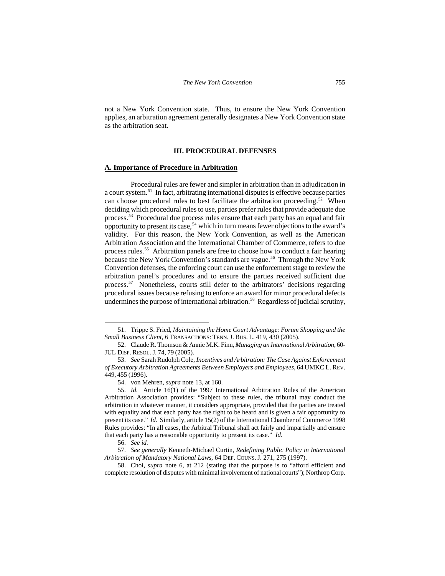not a New York Convention state. Thus, to ensure the New York Convention applies, an arbitration agreement generally designates a New York Convention state as the arbitration seat.

## **III. PROCEDURAL DEFENSES**

# **A. Importance of Procedure in Arbitration**

 Procedural rules are fewer and simpler in arbitration than in adjudication in a court system.<sup>[51](#page-8-0)</sup> In fact, arbitrating international disputes is effective because parties can choose procedural rules to best facilitate the arbitration proceeding.<sup>[52](#page-8-1)</sup> When deciding which procedural rules to use, parties prefer rules that provide adequate due process.[53](#page-8-2) Procedural due process rules ensure that each party has an equal and fair opportunity to present its case,  $54$  which in turn means fewer objections to the award's validity. For this reason, the New York Convention, as well as the American Arbitration Association and the International Chamber of Commerce, refers to due process rules.[55](#page-8-4) Arbitration panels are free to choose how to conduct a fair hearing because the New York Convention's standards are vague.<sup>[56](#page-8-5)</sup> Through the New York Convention defenses, the enforcing court can use the enforcement stage to review the arbitration panel's procedures and to ensure the parties received sufficient due process.[57](#page-8-6) Nonetheless, courts still defer to the arbitrators' decisions regarding procedural issues because refusing to enforce an award for minor procedural defects undermines the purpose of international arbitration.<sup>58</sup> Regardless of judicial scrutiny,

-

<span id="page-8-0"></span><sup>51.</sup> Trippe S. Fried, *Maintaining the Home Court Advantage: Forum Shopping and the Small Business Client*, 6 TRANSACTIONS: TENN. J. BUS. L. 419, 430 (2005).

<span id="page-8-1"></span><sup>52.</sup> Claude R. Thomson & Annie M.K. Finn, *Managing an International Arbitration*, 60- JUL DISP. RESOL. J. 74, 79 (2005).

<span id="page-8-2"></span><sup>53.</sup> *See* Sarah Rudolph Cole, *Incentives and Arbitration: The Case Against Enforcement of Executory Arbitration Agreements Between Employers and Employees*, 64 UMKC L. REV. 449, 455 (1996).

<sup>54.</sup> von Mehren, *supra* note 13, at 160.

<span id="page-8-4"></span><span id="page-8-3"></span><sup>55.</sup> *Id.* Article 16(1) of the 1997 International Arbitration Rules of the American Arbitration Association provides: "Subject to these rules, the tribunal may conduct the arbitration in whatever manner, it considers appropriate, provided that the parties are treated with equality and that each party has the right to be heard and is given a fair opportunity to present its case." *Id.* Similarly, article 15(2) of the International Chamber of Commerce 1998 Rules provides: "In all cases, the Arbitral Tribunal shall act fairly and impartially and ensure that each party has a reasonable opportunity to present its case." *Id.*

<sup>56.</sup> *See id.*

<span id="page-8-6"></span><span id="page-8-5"></span><sup>57.</sup> *See generally* Kenneth-Michael Curtin, *Redefining Public Policy in International Arbitration of Mandatory National Laws*, 64 DEF. COUNS. J. 271, 275 (1997).

<span id="page-8-7"></span><sup>58.</sup> Choi, *supra* note 6, at 212 (stating that the purpose is to "afford efficient and complete resolution of disputes with minimal involvement of national courts"); Northrop Corp.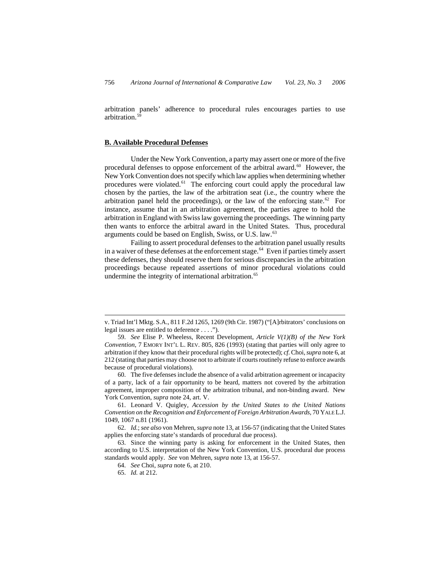arbitration panels' adherence to procedural rules encourages parties to use arbitration.<sup>[59](#page-9-0)</sup>

## **B. Available Procedural Defenses**

 Under the New York Convention, a party may assert one or more of the five procedural defenses to oppose enforcement of the arbitral award.<sup>[60](#page-9-1)</sup> However, the New York Convention does not specify which law applies when determining whether procedures were violated.<sup>[61](#page-9-2)</sup> The enforcing court could apply the procedural law chosen by the parties, the law of the arbitration seat (i.e., the country where the arbitration panel held the proceedings), or the law of the enforcing state.<sup>[62](#page-9-3)</sup> For instance, assume that in an arbitration agreement, the parties agree to hold the arbitration in England with Swiss law governing the proceedings. The winning party then wants to enforce the arbitral award in the United States. Thus, procedural arguments could be based on English, Swiss, or U.S. law.[63](#page-9-4)

 Failing to assert procedural defenses to the arbitration panel usually results in a waiver of these defenses at the enforcement stage.<sup>[64](#page-9-5)</sup> Even if parties timely assert these defenses, they should reserve them for serious discrepancies in the arbitration proceedings because repeated assertions of minor procedural violations could undermine the integrity of international arbitration.<sup>[65](#page-9-6)</sup>

 $\overline{a}$ 

v. Triad Int'l Mktg. S.A., 811 F.2d 1265, 1269 (9th Cir. 1987) ("[A]rbitrators' conclusions on legal issues are entitled to deference . . . .").

<span id="page-9-0"></span><sup>59.</sup> *See* Elise P. Wheeless, Recent Development, *Article V(1)(B) of the New York Convention*, 7 EMORY INT'L L. REV. 805, 826 (1993) (stating that parties will only agree to arbitration if they know that their procedural rights will be protected); *cf*. Choi, *supra* note 6, at 212 (stating that parties may choose not to arbitrate if courts routinely refuse to enforce awards because of procedural violations).

<span id="page-9-1"></span><sup>60.</sup> The five defenses include the absence of a valid arbitration agreement or incapacity of a party, lack of a fair opportunity to be heard, matters not covered by the arbitration agreement, improper composition of the arbitration tribunal, and non-binding award. New York Convention, *supra* note 24, art. V.

<span id="page-9-2"></span><sup>61.</sup> Leonard V. Quigley, *Accession by the United States to the United Nations Convention on the Recognition and Enforcement of Foreign Arbitration Awards*, 70 YALE L.J. 1049, 1067 n.81 (1961).

<span id="page-9-3"></span><sup>62.</sup> *Id.*; *see also* von Mehren, *supra* note 13, at 156-57 (indicating that the United States applies the enforcing state's standards of procedural due process).

<span id="page-9-6"></span><span id="page-9-5"></span><span id="page-9-4"></span><sup>63.</sup> Since the winning party is asking for enforcement in the United States, then according to U.S. interpretation of the New York Convention, U.S. procedural due process standards would apply. *See* von Mehren, *supra* note 13, at 156-57.

<sup>64.</sup> *See* Choi, *supra* note 6, at 210.

<sup>65.</sup> *Id.* at 212.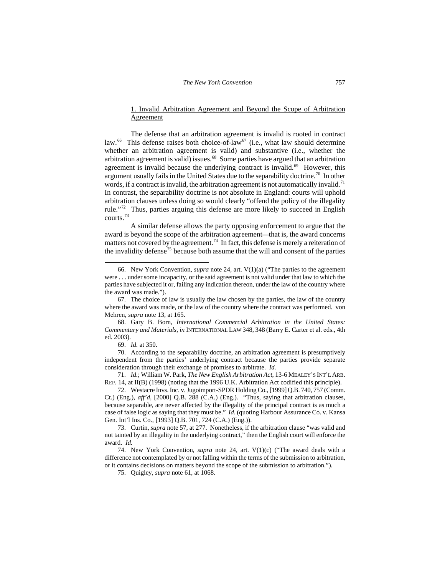# 1. Invalid Arbitration Agreement and Beyond the Scope of Arbitration Agreement

 The defense that an arbitration agreement is invalid is rooted in contract law.<sup>[66](#page-10-0)</sup> This defense raises both choice-of-law<sup>[67](#page-10-1)</sup> (i.e., what law should determine whether an arbitration agreement is valid) and substantive (i.e., whether the arbitration agreement is valid) issues.<sup>[68](#page-10-2)</sup> Some parties have argued that an arbitration agreement is invalid because the underlying contract is invalid.<sup>[69](#page-10-3)</sup> However, this argument usually fails in the United States due to the separability doctrine.<sup>[70](#page-10-4)</sup> In other words, if a contract is invalid, the arbitration agreement is not automatically invalid.<sup>[71](#page-10-5)</sup> In contrast, the separability doctrine is not absolute in England: courts will uphold arbitration clauses unless doing so would clearly "offend the policy of the illegality rule."[72](#page-10-6) Thus, parties arguing this defense are more likely to succeed in English courts.[73](#page-10-7)

 A similar defense allows the party opposing enforcement to argue that the award is beyond the scope of the arbitration agreement—that is, the award concerns matters not covered by the agreement.<sup>[74](#page-10-8)</sup> In fact, this defense is merely a reiteration of the invalidity defense<sup>[75](#page-10-9)</sup> because both assume that the will and consent of the parties

 $\overline{a}$ 

75. Quigley, *supra* note 61, at 1068.

<span id="page-10-0"></span><sup>66.</sup> New York Convention, *supra* note 24, art. V(1)(a) ("The parties to the agreement were . . . under some incapacity, or the said agreement is not valid under that law to which the parties have subjected it or, failing any indication thereon, under the law of the country where the award was made.").

<span id="page-10-1"></span><sup>67.</sup> The choice of law is usually the law chosen by the parties, the law of the country where the award was made, or the law of the country where the contract was performed. von Mehren, *supra* note 13, at 165.

<span id="page-10-2"></span><sup>68.</sup> Gary B. Born, *International Commercial Arbitration in the United States: Commentary and Materials*, *in* INTERNATIONAL LAW 348, 348 (Barry E. Carter et al. eds., 4th ed. 2003).

<sup>69.</sup> *Id.* at 350.

<span id="page-10-4"></span><span id="page-10-3"></span><sup>70.</sup> According to the separability doctrine, an arbitration agreement is presumptively independent from the parties' underlying contract because the parties provide separate consideration through their exchange of promises to arbitrate. *Id.* 

<span id="page-10-5"></span><sup>71.</sup> *Id.*; William W. Park, *The New English Arbitration Act*, 13-6 MEALEY'S INT'L ARB. REP. 14, at II(B) (1998) (noting that the 1996 U.K. Arbitration Act codified this principle).

<span id="page-10-6"></span><sup>72.</sup> Westacre Invs. Inc. v. Jugoimport-SPDR Holding Co., [1999] Q.B. 740, 757 (Comm. Ct.) (Eng.), *aff'd*, [2000] Q.B. 288 (C.A.) (Eng.). "Thus, saying that arbitration clauses, because separable, are never affected by the illegality of the principal contract is as much a case of false logic as saying that they must be." *Id*. (quoting Harbour Assurance Co. v. Kansa Gen. Int'l Ins. Co., [1993] Q.B. 701, 724 (C.A.) (Eng.)).

<span id="page-10-7"></span><sup>73.</sup> Curtin, *supra* note 57, at 277. Nonetheless, if the arbitration clause "was valid and not tainted by an illegality in the underlying contract," then the English court will enforce the award. *Id.*

<span id="page-10-9"></span><span id="page-10-8"></span><sup>74.</sup> New York Convention, *supra* note 24, art. V(1)(c) ("The award deals with a difference not contemplated by or not falling within the terms of the submission to arbitration, or it contains decisions on matters beyond the scope of the submission to arbitration.").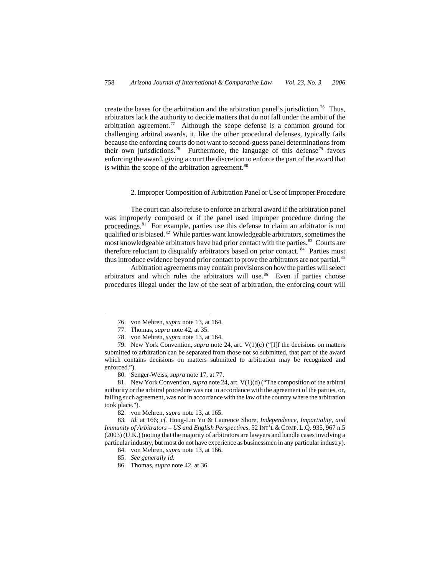create the bases for the arbitration and the arbitration panel's jurisdiction.<sup>[76](#page-11-0)</sup> Thus, arbitrators lack the authority to decide matters that do not fall under the ambit of the arbitration agreement.<sup>[77](#page-11-1)</sup> Although the scope defense is a common ground for challenging arbitral awards, it, like the other procedural defenses, typically fails because the enforcing courts do not want to second-guess panel determinations from their own jurisdictions.<sup>[78](#page-11-2)</sup> Furthermore, the language of this defense<sup>[79](#page-11-3)</sup> favors enforcing the award, giving a court the discretion to enforce the part of the award that *is* within the scope of the arbitration agreement. $80$ 

### 2. Improper Composition of Arbitration Panel or Use of Improper Procedure

 The court can also refuse to enforce an arbitral award if the arbitration panel was improperly composed or if the panel used improper procedure during the proceedings.[81](#page-11-5) For example, parties use this defense to claim an arbitrator is not qualified or is biased.<sup>[82](#page-11-6)</sup> While parties want knowledgeable arbitrators, sometimes the most knowledgeable arbitrators have had prior contact with the parties.<sup>[83](#page-11-7)</sup> Courts are therefore reluctant to disqualify arbitrators based on prior contact. [84](#page-11-8) Parties must thus introduce evidence beyond prior contact to prove the arbitrators are not partial.<sup>[85](#page-11-9)</sup>

 Arbitration agreements may contain provisions on how the parties will select arbitrators and which rules the arbitrators will use. $86$  Even if parties choose procedures illegal under the law of the seat of arbitration, the enforcing court will

<span id="page-11-0"></span>-

86. Thomas, *supra* note 42, at 36.

<sup>76.</sup> von Mehren, *supra* note 13, at 164.

<sup>77.</sup> Thomas, *supra* note 42, at 35.

<sup>78.</sup> von Mehren, *supra* note 13, at 164.

<span id="page-11-3"></span><span id="page-11-2"></span><span id="page-11-1"></span><sup>79.</sup> New York Convention, *supra* note 24, art. V(1)(c) ("[I]f the decisions on matters submitted to arbitration can be separated from those not so submitted, that part of the award which contains decisions on matters submitted to arbitration may be recognized and enforced.").

<sup>80.</sup> Senger-Weiss, *supra* note 17, at 77.

<span id="page-11-5"></span><span id="page-11-4"></span><sup>81.</sup> New York Convention, *supra* note 24, art. V(1)(d) ("The composition of the arbitral authority or the arbitral procedure was not in accordance with the agreement of the parties, or, failing such agreement, was not in accordance with the law of the country where the arbitration took place.").

<sup>82.</sup> von Mehren, *supra* note 13, at 165.

<span id="page-11-10"></span><span id="page-11-9"></span><span id="page-11-8"></span><span id="page-11-7"></span><span id="page-11-6"></span><sup>83</sup>*. Id.* at 166; *cf.* Hong-Lin Yu & Laurence Shore, *Independence, Impartiality, and Immunity of Arbitrators – US and English Perspectives*, 52 INT'L & COMP. L.Q. 935, 967 n.5 (2003) (U.K.) (noting that the majority of arbitrators are lawyers and handle cases involving a particular industry, but most do not have experience as businessmen in any particular industry).

<sup>84.</sup> von Mehren, *supra* note 13, at 166.

<sup>85.</sup> *See generally id.*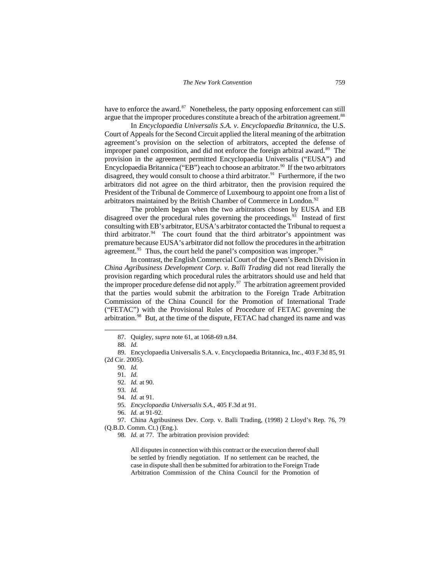have to enforce the award. $87$  Nonetheless, the party opposing enforcement can still argue that the improper procedures constitute a breach of the arbitration agreement.<sup>[88](#page-12-1)</sup>

 In *Encyclopaedia Universalis S.A. v. Encyclopaedia Britannica*, the U.S. Court of Appeals for the Second Circuit applied the literal meaning of the arbitration agreement's provision on the selection of arbitrators, accepted the defense of improper panel composition, and did not enforce the foreign arbitral award.<sup>[89](#page-12-2)</sup> The provision in the agreement permitted Encyclopaedia Universalis ("EUSA") and Encyclopaedia Britannica ("EB") each to choose an arbitrator.<sup>[90](#page-12-3)</sup> If the two arbitrators disagreed, they would consult to choose a third arbitrator.<sup>[91](#page-12-4)</sup> Furthermore, if the two arbitrators did not agree on the third arbitrator, then the provision required the President of the Tribunal de Commerce of Luxembourg to appoint one from a list of arbitrators maintained by the British Chamber of Commerce in London.<sup>[92](#page-12-5)</sup>

 The problem began when the two arbitrators chosen by EUSA and EB disagreed over the procedural rules governing the proceedings.<sup>[93](#page-12-6)</sup> Instead of first consulting with EB's arbitrator, EUSA's arbitrator contacted the Tribunal to request a third arbitrator.<sup>[94](#page-12-7)</sup> The court found that the third arbitrator's appointment was premature because EUSA's arbitrator did not follow the procedures in the arbitration agreement.<sup>[95](#page-12-8)</sup> Thus, the court held the panel's composition was improper.<sup>[96](#page-12-9)</sup>

 In contrast, the English Commercial Court of the Queen's Bench Division in *China Agribusiness Development Corp. v. Balli Trading* did not read literally the provision regarding which procedural rules the arbitrators should use and held that the improper procedure defense did not apply. $97$  The arbitration agreement provided that the parties would submit the arbitration to the Foreign Trade Arbitration Commission of the China Council for the Promotion of International Trade ("FETAC") with the Provisional Rules of Procedure of FETAC governing the arbitration.[98](#page-12-11) But, at the time of the dispute, FETAC had changed its name and was

1

All disputes in connection with this contract or the execution thereof shall be settled by friendly negotiation. If no settlement can be reached, the case in dispute shall then be submitted for arbitration to the Foreign Trade Arbitration Commission of the China Council for the Promotion of

<sup>87.</sup> Quigley, *supra* note 61, at 1068-69 n.84.

<sup>88.</sup> *Id.*

<span id="page-12-5"></span><span id="page-12-4"></span><span id="page-12-3"></span><span id="page-12-2"></span><span id="page-12-1"></span><span id="page-12-0"></span><sup>89.</sup> Encyclopaedia Universalis S.A. v. Encyclopaedia Britannica, Inc., 403 F.3d 85, 91 (2d Cir. 2005).

<sup>90.</sup> *Id.*

<sup>91.</sup> *Id.*

<sup>92.</sup> *Id.* at 90.

<sup>93.</sup> *Id.*

<sup>94.</sup> *Id.* at 91.

<sup>95.</sup> *Encyclopaedia Universalis S.A.*, 405 F.3d at 91.

<sup>96.</sup> *Id.* at 91-92.

<span id="page-12-11"></span><span id="page-12-10"></span><span id="page-12-9"></span><span id="page-12-8"></span><span id="page-12-7"></span><span id="page-12-6"></span><sup>97.</sup> China Agribusiness Dev. Corp. v. Balli Trading, (1998) 2 Lloyd's Rep. 76, 79 (Q.B.D. Comm. Ct.) (Eng.).

<sup>98.</sup> *Id.* at 77. The arbitration provision provided: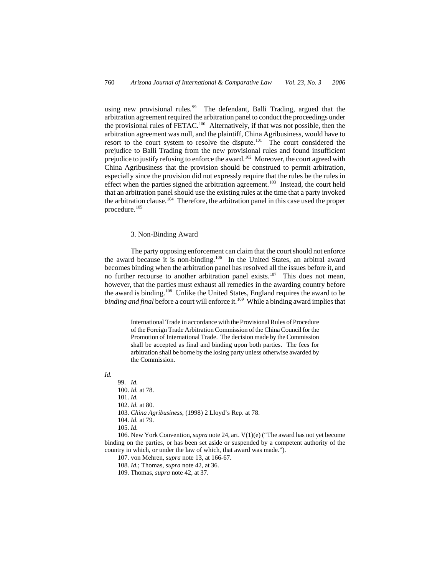using new provisional rules.<sup>[99](#page-13-0)</sup> The defendant, Balli Trading, argued that the arbitration agreement required the arbitration panel to conduct the proceedings under the provisional rules of FETAC.[100](#page-13-1) Alternatively, if that was not possible, then the arbitration agreement was null, and the plaintiff, China Agribusiness, would have to resort to the court system to resolve the dispute.<sup>[101](#page-13-2)</sup> The court considered the prejudice to Balli Trading from the new provisional rules and found insufficient prejudice to justify refusing to enforce the award.<sup>[102](#page-13-3)</sup> Moreover, the court agreed with China Agribusiness that the provision should be construed to permit arbitration, especially since the provision did not expressly require that the rules be the rules in effect when the parties signed the arbitration agreement.<sup>[103](#page-13-4)</sup> Instead, the court held that an arbitration panel should use the existing rules at the time that a party invoked the arbitration clause.<sup>[104](#page-13-5)</sup> Therefore, the arbitration panel in this case used the proper procedure.[105](#page-13-6)

### 3. Non-Binding Award

 The party opposing enforcement can claim that the court should not enforce the award because it is non-binding.[106](#page-13-7) In the United States, an arbitral award becomes binding when the arbitration panel has resolved all the issues before it, and no further recourse to another arbitration panel exists.<sup>107</sup> This does not mean, however, that the parties must exhaust all remedies in the awarding country before the award is binding.<sup>[108](#page-13-9)</sup> Unlike the United States, England requires the award to be *binding and final* before a court will enforce it.<sup>[109](#page-13-10)</sup> While a binding award implies that

> International Trade in accordance with the Provisional Rules of Procedure of the Foreign Trade Arbitration Commission of the China Council for the Promotion of International Trade. The decision made by the Commission shall be accepted as final and binding upon both parties. The fees for arbitration shall be borne by the losing party unless otherwise awarded by the Commission.

# <span id="page-13-3"></span><span id="page-13-2"></span><span id="page-13-1"></span><span id="page-13-0"></span>*Id.*

-

99. *Id.* 100. *Id.* at 78. 101. *Id.* 102. *Id.* at 80. 103. *China Agribusiness*, (1998) 2 Lloyd's Rep. at 78. 104. *Id.* at 79. 105. *Id.* 106. New York Convention, *supra* note 24, art. V(1)(e) ("The award has not yet become

<span id="page-13-10"></span><span id="page-13-9"></span><span id="page-13-8"></span><span id="page-13-7"></span><span id="page-13-6"></span><span id="page-13-5"></span><span id="page-13-4"></span>binding on the parties, or has been set aside or suspended by a competent authority of the country in which, or under the law of which, that award was made.").

107. von Mehren, *supra* note 13, at 166-67.

108. *Id.*; Thomas, *supra* note 42, at 36.

109. Thomas, *supra* note 42, at 37.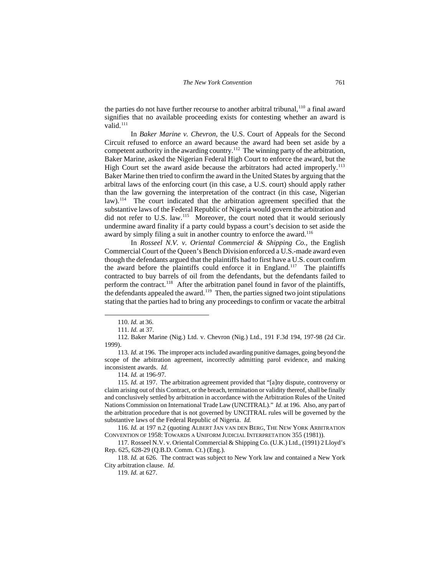the parties do not have further recourse to another arbitral tribunal,<sup>[110](#page-14-0)</sup> a final award signifies that no available proceeding exists for contesting whether an award is valid. $111$ 

 In *Baker Marine v. Chevron*, the U.S. Court of Appeals for the Second Circuit refused to enforce an award because the award had been set aside by a competent authority in the awarding country.<sup>112</sup> The winning party of the arbitration, Baker Marine, asked the Nigerian Federal High Court to enforce the award, but the High Court set the award aside because the arbitrators had acted improperly.<sup>[113](#page-14-3)</sup> Baker Marine then tried to confirm the award in the United States by arguing that the arbitral laws of the enforcing court (in this case, a U.S. court) should apply rather than the law governing the interpretation of the contract (in this case, Nigerian law).<sup>[114](#page-14-4)</sup> The court indicated that the arbitration agreement specified that the substantive laws of the Federal Republic of Nigeria would govern the arbitration and did not refer to U.S. law.<sup>[115](#page-14-5)</sup> Moreover, the court noted that it would seriously undermine award finality if a party could bypass a court's decision to set aside the award by simply filing a suit in another country to enforce the award.<sup>[116](#page-14-6)</sup>

 In *Rosseel N.V. v. Oriental Commercial & Shipping Co.,* the English Commercial Court of the Queen's Bench Division enforced a U.S.-made award even though the defendants argued that the plaintiffs had to first have a U.S. court confirm the award before the plaintiffs could enforce it in England.<sup>[117](#page-14-7)</sup> The plaintiffs contracted to buy barrels of oil from the defendants, but the defendants failed to perform the contract.<sup>[118](#page-14-8)</sup> After the arbitration panel found in favor of the plaintiffs, the defendants appealed the award.<sup>[119](#page-14-9)</sup> Then, the parties signed two joint stipulations stating that the parties had to bring any proceedings to confirm or vacate the arbitral

<span id="page-14-0"></span> $\overline{a}$ 

<span id="page-14-3"></span>113. *Id.* at 196. The improper acts included awarding punitive damages, going beyond the scope of the arbitration agreement, incorrectly admitting parol evidence, and making inconsistent awards. *Id.*

114. *Id.* at 196-97.

<span id="page-14-5"></span><span id="page-14-4"></span>115. *Id.* at 197. The arbitration agreement provided that "[a]ny dispute, controversy or claim arising out of this Contract, or the breach, termination or validity thereof, shall be finally and conclusively settled by arbitration in accordance with the Arbitration Rules of the United Nations Commission on International Trade Law (UNCITRAL)." *Id.* at 196.Also, any part of the arbitration procedure that is not governed by UNCITRAL rules will be governed by the substantive laws of the Federal Republic of Nigeria. *Id.*

<span id="page-14-6"></span>116. *Id.* at 197 n.2 (quoting ALBERT JAN VAN DEN BERG, THE NEW YORK ARBITRATION CONVENTION OF 1958: TOWARDS A UNIFORM JUDICIAL INTERPRETATION 355 (1981)).

<span id="page-14-7"></span>117. Rosseel N.V. v. Oriental Commercial & Shipping Co. (U.K.) Ltd., (1991) 2 Lloyd's Rep. 625, 628-29 (Q.B.D. Comm. Ct.) (Eng.).

<span id="page-14-9"></span><span id="page-14-8"></span>118. *Id.* at 626. The contract was subject to New York law and contained a New York City arbitration clause. *Id.*

<sup>110.</sup> *Id.* at 36.

<sup>111.</sup> *Id.* at 37.

<span id="page-14-2"></span><span id="page-14-1"></span><sup>112.</sup> Baker Marine (Nig.) Ltd. v. Chevron (Nig.) Ltd., 191 F.3d 194, 197-98 (2d Cir. 1999).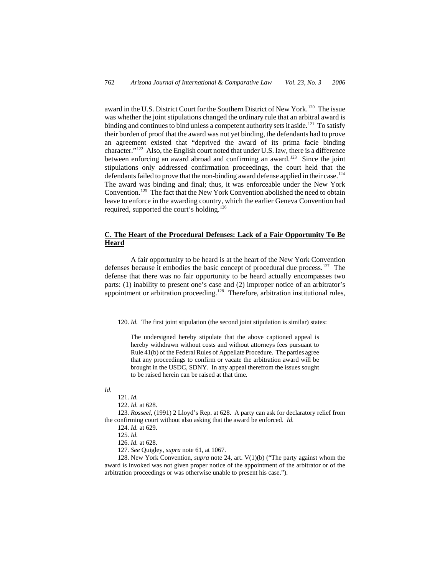award in the U.S. District Court for the Southern District of New York.<sup>[120](#page-15-0)</sup> The issue was whether the joint stipulations changed the ordinary rule that an arbitral award is binding and continues to bind unless a competent authority sets it aside.<sup>[121](#page-15-1)</sup> To satisfy their burden of proof that the award was not yet binding, the defendants had to prove an agreement existed that "deprived the award of its prima facie binding character."[122](#page-15-2) Also, the English court noted that under U.S. law, there is a difference between enforcing an award abroad and confirming an award.<sup>[123](#page-15-3)</sup> Since the joint stipulations only addressed confirmation proceedings, the court held that the defendants failed to prove that the non-binding award defense applied in their case.<sup>[124](#page-15-4)</sup> The award was binding and final; thus, it was enforceable under the New York Convention.[125](#page-15-5) The fact that the New York Convention abolished the need to obtain leave to enforce in the awarding country, which the earlier Geneva Convention had required, supported the court's holding.[126](#page-15-6)

# **C. The Heart of the Procedural Defenses: Lack of a Fair Opportunity To Be Heard**

 A fair opportunity to be heard is at the heart of the New York Convention defenses because it embodies the basic concept of procedural due process.<sup>[127](#page-15-7)</sup> The defense that there was no fair opportunity to be heard actually encompasses two parts: (1) inability to present one's case and (2) improper notice of an arbitrator's appointment or arbitration proceeding.[128](#page-15-8) Therefore, arbitration institutional rules,

<span id="page-15-1"></span>*Id.* 

<span id="page-15-0"></span> $\overline{a}$ 

<sup>120.</sup> *Id.* The first joint stipulation (the second joint stipulation is similar) states:

The undersigned hereby stipulate that the above captioned appeal is hereby withdrawn without costs and without attorneys fees pursuant to Rule 41(b) of the Federal Rules of Appellate Procedure. The parties agree that any proceedings to confirm or vacate the arbitration award will be brought in the USDC, SDNY. In any appeal therefrom the issues sought to be raised herein can be raised at that time.

<sup>121.</sup> *Id.*

<sup>122.</sup> *Id.* at 628.

<span id="page-15-5"></span><span id="page-15-4"></span><span id="page-15-3"></span><span id="page-15-2"></span><sup>123.</sup> *Rosseel*, (1991) 2 Lloyd's Rep. at 628. A party can ask for declaratory relief from the confirming court without also asking that the award be enforced. *Id.*

<sup>124.</sup> *Id.* at 629.

<sup>125.</sup> *Id.*

<sup>126.</sup> *Id.* at 628.

<sup>127.</sup> *See* Quigley, *supra* note 61, at 1067.

<span id="page-15-8"></span><span id="page-15-7"></span><span id="page-15-6"></span><sup>128.</sup> New York Convention, *supra* note 24, art. V(1)(b) ("The party against whom the award is invoked was not given proper notice of the appointment of the arbitrator or of the arbitration proceedings or was otherwise unable to present his case.").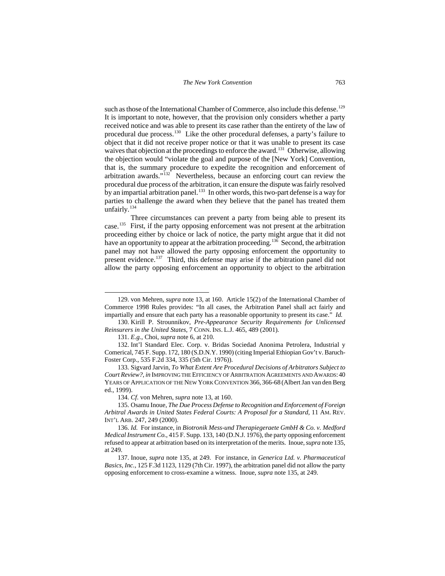such as those of the International Chamber of Commerce, also include this defense.<sup>[129](#page-16-0)</sup> It is important to note, however, that the provision only considers whether a party received notice and was able to present its case rather than the entirety of the law of procedural due process.[130](#page-16-1) Like the other procedural defenses, a party's failure to object that it did not receive proper notice or that it was unable to present its case waives that objection at the proceedings to enforce the award.<sup>[131](#page-16-2)</sup> Otherwise, allowing the objection would "violate the goal and purpose of the [New York] Convention, that is, the summary procedure to expedite the recognition and enforcement of arbitration awards."[132](#page-16-3) Nevertheless, because an enforcing court can review the procedural due process of the arbitration, it can ensure the dispute was fairly resolved by an impartial arbitration panel.<sup>[133](#page-16-4)</sup> In other words, this two-part defense is a way for parties to challenge the award when they believe that the panel has treated them unfairly.<sup>[134](#page-16-5)</sup>

 Three circumstances can prevent a party from being able to present its case.[135](#page-16-6) First, if the party opposing enforcement was not present at the arbitration proceeding either by choice or lack of notice, the party might argue that it did not have an opportunity to appear at the arbitration proceeding.<sup>[136](#page-16-7)</sup> Second, the arbitration panel may not have allowed the party opposing enforcement the opportunity to present evidence.<sup>[137](#page-16-8)</sup> Third, this defense may arise if the arbitration panel did not allow the party opposing enforcement an opportunity to object to the arbitration

 $\overline{a}$ 

<span id="page-16-0"></span><sup>129.</sup> von Mehren, *supra* note 13, at 160. Article 15(2) of the International Chamber of Commerce 1998 Rules provides: "In all cases, the Arbitration Panel shall act fairly and impartially and ensure that each party has a reasonable opportunity to present its case." *Id.*

<span id="page-16-1"></span><sup>130.</sup> Kirill P. Strounnikov, *Pre-Appearance Security Requirements for Unlicensed Reinsurers in the United States*, 7 CONN. INS. L.J. 465, 489 (2001).

<sup>131.</sup> *E.g.*, Choi, *supra* note 6, at 210.

<span id="page-16-3"></span><span id="page-16-2"></span><sup>132.</sup> Int'l Standard Elec. Corp. v. Bridas Sociedad Anonima Petrolera, Industrial y Comerical, 745 F. Supp. 172, 180 (S.D.N.Y. 1990) (citing Imperial Ethiopian Gov't v. Baruch-Foster Corp., 535 F.2d 334, 335 (5th Cir. 1976)).

<span id="page-16-4"></span><sup>133.</sup> Sigvard Jarvin, *To What Extent Are Procedural Decisions of Arbitrators Subject to Court Review?*, *in* IMPROVING THE EFFICIENCY OF ARBITRATION AGREEMENTS AND AWARDS:40 YEARS OF APPLICATION OF THE NEW YORK CONVENTION 366, 366-68 (Albert Jan van den Berg ed., 1999).

<sup>134.</sup> *Cf*. von Mehren, *supra* note 13, at 160.

<span id="page-16-6"></span><span id="page-16-5"></span><sup>135.</sup> Osamu Inoue, *The Due Process Defense to Recognition and Enforcement of Foreign Arbitral Awards in United States Federal Courts: A Proposal for a Standard*, 11 AM. REV. INT'L ARB. 247, 249 (2000).

<span id="page-16-7"></span><sup>136.</sup> *Id.* For instance, in *Biotronik Mess-und Therapiegeraete GmbH & Co. v. Medford Medical Instrument Co.*, 415 F. Supp. 133, 140 (D.N.J. 1976), the party opposing enforcement refused to appear at arbitration based on its interpretation of the merits. Inoue, *supra* note 135, at 249.

<span id="page-16-8"></span><sup>137.</sup> Inoue, *supra* note 135, at 249.For instance, in *Generica Ltd. v. Pharmaceutical Basics, Inc.,* 125 F.3d 1123, 1129 (7th Cir. 1997), the arbitration panel did not allow the party opposing enforcement to cross-examine a witness. Inoue, *supra* note 135, at 249.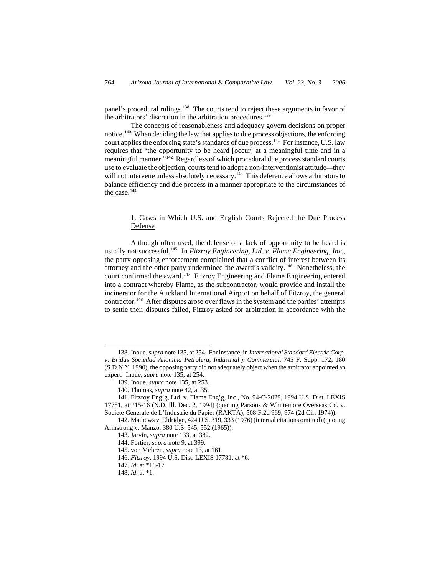panel's procedural rulings.<sup>[138](#page-17-0)</sup> The courts tend to reject these arguments in favor of the arbitrators' discretion in the arbitration procedures.<sup>[139](#page-17-1)</sup>

 The concepts of reasonableness and adequacy govern decisions on proper notice.[140](#page-17-2) When deciding the law that applies to due process objections, the enforcing court applies the enforcing state's standards of due process.<sup>141</sup> For instance, U.S. law requires that "the opportunity to be heard [occur] at a meaningful time and in a meaningful manner.<sup>3[142](#page-17-4)</sup> Regardless of which procedural due process standard courts use to evaluate the objection, courts tend to adopt a non-interventionist attitude—they will not intervene unless absolutely necessary.<sup>[143](#page-17-5)</sup> This deference allows arbitrators to balance efficiency and due process in a manner appropriate to the circumstances of the case.<sup>[144](#page-17-6)</sup>

# 1. Cases in Which U.S. and English Courts Rejected the Due Process Defense

 Although often used, the defense of a lack of opportunity to be heard is usually not successful.[145](#page-17-7) In *Fitzroy Engineering, Ltd. v. Flame Engineering, Inc.*, the party opposing enforcement complained that a conflict of interest between its attorney and the other party undermined the award's validity.[146](#page-17-8) Nonetheless, the court confirmed the award.<sup>[147](#page-17-9)</sup> Fitzroy Engineering and Flame Engineering entered into a contract whereby Flame, as the subcontractor, would provide and install the incinerator for the Auckland International Airport on behalf of Fitzroy, the general contractor.<sup>[148](#page-17-10)</sup> After disputes arose over flaws in the system and the parties' attempts to settle their disputes failed, Fitzroy asked for arbitration in accordance with the

 $\overline{\phantom{a}}$ 

<span id="page-17-0"></span><sup>138.</sup> Inoue, *supra* note 135, at 254. For instance, in *International Standard Electric Corp. v. Bridas Sociedad Anonima Petrolera, Industrial y Commercial*, 745 F. Supp. 172, 180 (S.D.N.Y. 1990), the opposing party did not adequately object when the arbitrator appointed an expert. Inoue, *supra* note 135, at 254.

<sup>139.</sup> Inoue, *supra* note 135, at 253.

<sup>140.</sup> Thomas, *supra* note 42, at 35.

<span id="page-17-3"></span><span id="page-17-2"></span><span id="page-17-1"></span><sup>141.</sup> Fitzroy Eng'g, Ltd. v. Flame Eng'g, Inc., No. 94-C-2029, 1994 U.S. Dist. LEXIS 17781, at \*15-16 (N.D. Ill. Dec. 2, 1994) (quoting Parsons & Whittemore Overseas Co. v. Societe Generale de L'Industrie du Papier (RAKTA), 508 F.2d 969, 974 (2d Cir. 1974)).

<span id="page-17-10"></span><span id="page-17-9"></span><span id="page-17-8"></span><span id="page-17-7"></span><span id="page-17-6"></span><span id="page-17-5"></span><span id="page-17-4"></span><sup>142.</sup> Mathews v. Eldridge, 424 U.S. 319, 333 (1976) (internal citations omitted) (quoting Armstrong v. Manzo, 380 U.S. 545, 552 (1965)).

<sup>143.</sup> Jarvin, *supra* note 133, at 382.

<sup>144.</sup> Fortier, *supra* note 9, at 399.

<sup>145.</sup> von Mehren, *supra* note 13, at 161.

<sup>146.</sup> *Fitzroy*, 1994 U.S. Dist. LEXIS 17781, at \*6.

<sup>147.</sup> *Id.* at \*16-17.

<sup>148.</sup> *Id.* at \*1.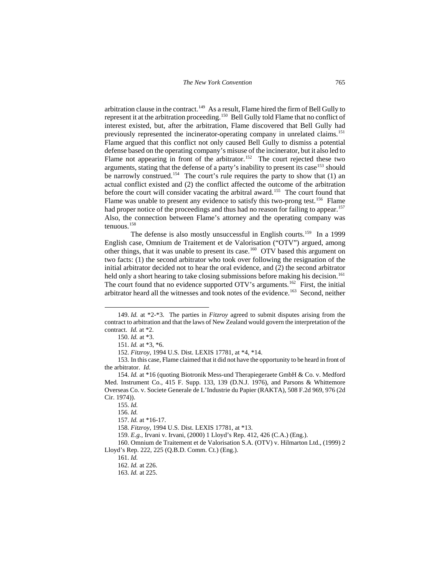arbitration clause in the contract.<sup>[149](#page-18-0)</sup> As a result, Flame hired the firm of Bell Gully to represent it at the arbitration proceeding.<sup>[150](#page-18-1)</sup> Bell Gully told Flame that no conflict of interest existed, but, after the arbitration, Flame discovered that Bell Gully had previously represented the incinerator-operating company in unrelated claims.<sup>[151](#page-18-2)</sup> Flame argued that this conflict not only caused Bell Gully to dismiss a potential defense based on the operating company's misuse of the incinerator, but it also led to Flame not appearing in front of the arbitrator.<sup>[152](#page-18-3)</sup> The court rejected these two arguments, stating that the defense of a party's inability to present its case<sup>[153](#page-18-4)</sup> should be narrowly construed.<sup>[154](#page-18-5)</sup> The court's rule requires the party to show that (1) an actual conflict existed and (2) the conflict affected the outcome of the arbitration before the court will consider vacating the arbitral award.<sup>[155](#page-18-6)</sup> The court found that Flame was unable to present any evidence to satisfy this two-prong test.<sup>[156](#page-18-7)</sup> Flame had proper notice of the proceedings and thus had no reason for failing to appear.<sup>[157](#page-18-8)</sup> Also, the connection between Flame's attorney and the operating company was tenuous.<sup>[158](#page-18-9)</sup>

The defense is also mostly unsuccessful in English courts.<sup>[159](#page-18-10)</sup> In a 1999 English case, Omnium de Traitement et de Valorisation ("OTV") argued, among other things, that it was unable to present its case.[160](#page-18-11) OTV based this argument on two facts: (1) the second arbitrator who took over following the resignation of the initial arbitrator decided not to hear the oral evidence, and (2) the second arbitrator held only a short hearing to take closing submissions before making his decision.<sup>[161](#page-18-12)</sup> The court found that no evidence supported OTV's arguments.<sup>[162](#page-18-13)</sup> First, the initial arbitrator heard all the witnesses and took notes of the evidence.[163](#page-18-14) Second, neither

-

158. *Fitzroy*, 1994 U.S. Dist. LEXIS 17781, at \*13.

159. *E.g.,* Irvani v. Irvani, (2000) 1 Lloyd's Rep. 412, 426 (C.A.) (Eng.).

<span id="page-18-1"></span><span id="page-18-0"></span><sup>149.</sup> *Id.* at \*2-\*3. The parties in *Fitzroy* agreed to submit disputes arising from the contract to arbitration and that the laws of New Zealand would govern the interpretation of the contract. *Id.* at \*2.

<sup>150.</sup> *Id.* at \*3.

<sup>151.</sup> *Id.* at \*3, \*6.

<sup>152.</sup> *Fitzroy*, 1994 U.S. Dist. LEXIS 17781, at \*4, \*14.

<span id="page-18-4"></span><span id="page-18-3"></span><span id="page-18-2"></span><sup>153.</sup> In this case, Flame claimed that it did not have the opportunity to be heard in front of the arbitrator. *Id*.

<span id="page-18-6"></span><span id="page-18-5"></span><sup>154.</sup> *Id.* at \*16 (quoting Biotronik Mess-und Therapiegeraete GmbH & Co. v. Medford Med. Instrument Co., 415 F. Supp. 133, 139 (D.N.J. 1976), and Parsons & Whittemore Overseas Co. v. Societe Generale de L'Industrie du Papier (RAKTA), 508 F.2d 969, 976 (2d Cir. 1974)).

<sup>155.</sup> *Id.*

<sup>156.</sup> *Id.*

<sup>157.</sup> *Id.* at \*16-17.

<span id="page-18-14"></span><span id="page-18-13"></span><span id="page-18-12"></span><span id="page-18-11"></span><span id="page-18-10"></span><span id="page-18-9"></span><span id="page-18-8"></span><span id="page-18-7"></span><sup>160.</sup> Omnium de Traitement et de Valorisation S.A. (OTV) v. Hilmarton Ltd., (1999) 2 Lloyd's Rep. 222, 225 (Q.B.D. Comm. Ct.) (Eng.).

<sup>161.</sup> *Id.*

<sup>162.</sup> *Id.* at 226.

<sup>163.</sup> *Id.* at 225.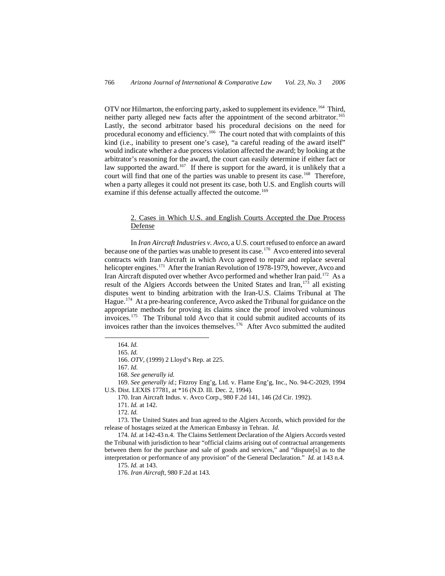OTV nor Hilmarton, the enforcing party, asked to supplement its evidence.[164](#page-19-0) Third, neither party alleged new facts after the appointment of the second arbitrator.<sup>[165](#page-19-1)</sup> Lastly, the second arbitrator based his procedural decisions on the need for procedural economy and efficiency.<sup>[166](#page-19-2)</sup> The court noted that with complaints of this kind (i.e., inability to present one's case), "a careful reading of the award itself" would indicate whether a due process violation affected the award; by looking at the arbitrator's reasoning for the award, the court can easily determine if either fact or law supported the award.<sup>[167](#page-19-3)</sup> If there is support for the award, it is unlikely that a court will find that one of the parties was unable to present its case.<sup>[168](#page-19-4)</sup> Therefore, when a party alleges it could not present its case, both U.S. and English courts will examine if this defense actually affected the outcome.<sup>[169](#page-19-5)</sup>

# 2. Cases in Which U.S. and English Courts Accepted the Due Process Defense

 In *Iran Aircraft Industries v. Avco,* a U.S. court refused to enforce an award because one of the parties was unable to present its case.<sup>[170](#page-19-6)</sup> Avco entered into several contracts with Iran Aircraft in which Avco agreed to repair and replace several helicopter engines.<sup>[171](#page-19-7)</sup> After the Iranian Revolution of 1978-1979, however, Avco and Iran Aircraft disputed over whether Avco performed and whether Iran paid.[172](#page-19-8) As a result of the Algiers Accords between the United States and Iran, $17\overline{3}$  all existing disputes went to binding arbitration with the Iran-U.S. Claims Tribunal at The Hague.<sup>[174](#page-19-10)</sup> At a pre-hearing conference, Avco asked the Tribunal for guidance on the appropriate methods for proving its claims since the proof involved voluminous invoices.[175](#page-19-11) The Tribunal told Avco that it could submit audited accounts of its invoices rather than the invoices themselves.<sup>[176](#page-19-12)</sup> After Avco submitted the audited

<span id="page-19-1"></span><span id="page-19-0"></span>-

<span id="page-19-6"></span><span id="page-19-5"></span><span id="page-19-4"></span><span id="page-19-3"></span><span id="page-19-2"></span>169. *See generally id.*; Fitzroy Eng'g, Ltd. v. Flame Eng'g, Inc., No. 94-C-2029, 1994 U.S. Dist. LEXIS 17781, at \*16 (N.D. Ill. Dec. 2, 1994).

170. Iran Aircraft Indus. v. Avco Corp., 980 F.2d 141, 146 (2d Cir. 1992).

<span id="page-19-9"></span><span id="page-19-8"></span><span id="page-19-7"></span>173. The United States and Iran agreed to the Algiers Accords, which provided for the release of hostages seized at the American Embassy in Tehran. *Id.*

<span id="page-19-12"></span><span id="page-19-11"></span><span id="page-19-10"></span>174. *Id.* at 142-43 n.4. The Claims Settlement Declaration of the Algiers Accords vested the Tribunal with jurisdiction to hear "official claims arising out of contractual arrangements between them for the purchase and sale of goods and services," and "dispute[s] as to the interpretation or performance of any provision" of the General Declaration." *Id.* at 143 n.4.

175. *Id.* at 143.

176. *Iran Aircraft*, 980 F.2d at 143.

<sup>164.</sup> *Id.*

<sup>165.</sup> *Id.*

<sup>166.</sup> *OTV*, (1999) 2 Lloyd's Rep. at 225.

<sup>167.</sup> *Id.*

<sup>168.</sup> *See generally id.*

<sup>171.</sup> *Id.* at 142.

<sup>172.</sup> *Id.*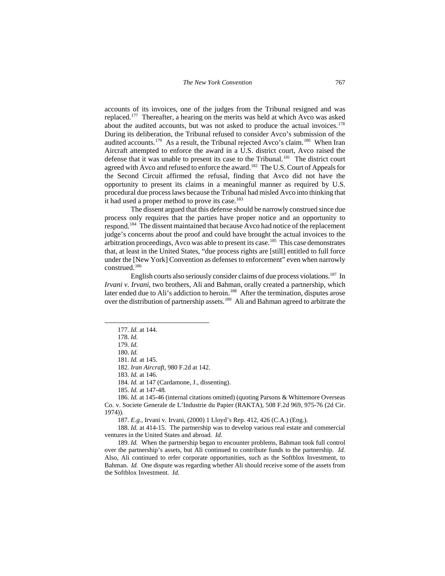accounts of its invoices, one of the judges from the Tribunal resigned and was replaced.[177](#page-20-0) Thereafter, a hearing on the merits was held at which Avco was asked about the audited accounts, but was not asked to produce the actual invoices.<sup>[178](#page-20-1)</sup> During its deliberation, the Tribunal refused to consider Avco's submission of the audited accounts.<sup>[179](#page-20-2)</sup> As a result, the Tribunal rejected Avco's claim.<sup>[180](#page-20-3)</sup> When Iran Aircraft attempted to enforce the award in a U.S. district court, Avco raised the defense that it was unable to present its case to the Tribunal.<sup>[181](#page-20-4)</sup> The district court agreed with Avco and refused to enforce the award.<sup>[182](#page-20-5)</sup> The U.S. Court of Appeals for the Second Circuit affirmed the refusal, finding that Avco did not have the opportunity to present its claims in a meaningful manner as required by U.S. procedural due process laws because the Tribunal had misled Avco into thinking that it had used a proper method to prove its case.<sup>[183](#page-20-6)</sup>

 The dissent argued that this defense should be narrowly construed since due process only requires that the parties have proper notice and an opportunity to respond.[184](#page-20-7) The dissent maintained that because Avco had notice of the replacement judge's concerns about the proof and could have brought the actual invoices to the arbitration proceedings, Avco was able to present its case.<sup>[185](#page-20-8)</sup> This case demonstrates that, at least in the United States, "due process rights are [still] entitled to full force under the [New York] Convention as defenses to enforcement" even when narrowly construed.<sup>[186](#page-20-9)</sup>

 English courts also seriously consider claims of due process violations.[187](#page-20-10) In *Irvani v. Irvani*, two brothers, Ali and Bahman, orally created a partnership, which later ended due to Ali's addiction to heroin.<sup>[188](#page-20-11)</sup> After the termination, disputes arose over the distribution of partnership assets.[189](#page-20-12) Ali and Bahman agreed to arbitrate the

<span id="page-20-3"></span><span id="page-20-2"></span><span id="page-20-1"></span><span id="page-20-0"></span>-

183. *Id.* at 146.

185. *Id.* at 147-48.

<span id="page-20-9"></span><span id="page-20-8"></span><span id="page-20-7"></span><span id="page-20-6"></span><span id="page-20-5"></span><span id="page-20-4"></span>186. *Id.* at 145-46 (internal citations omitted) (quoting Parsons & Whittemore Overseas Co. v. Societe Generale de L'Industrie du Papier (RAKTA), 508 F.2d 969, 975-76 (2d Cir. 1974)).

187. *E.g.*, Irvani v. Irvani, (2000) 1 Lloyd's Rep. 412, 426 (C.A.) (Eng.).

<span id="page-20-11"></span><span id="page-20-10"></span>188. *Id.* at 414-15. The partnership was to develop various real estate and commercial ventures in the United States and abroad. *Id.*

<span id="page-20-12"></span>189. *Id.* When the partnership began to encounter problems, Bahman took full control over the partnership's assets, but Ali continued to contribute funds to the partnership. *Id.* Also, Ali continued to refer corporate opportunities, such as the Softblox Investment, to Bahman. *Id.* One dispute was regarding whether Ali should receive some of the assets from the Softblox Investment. *Id.*

<sup>177.</sup> *Id.* at 144.

<sup>178.</sup> *Id.*

<sup>179.</sup> *Id.*

<sup>180.</sup> *Id.*

<sup>181.</sup> *Id.* at 145.

<sup>182.</sup> *Iran Aircraft*, 980 F.2d at 142.

<sup>184.</sup> *Id.* at 147 (Cardamone, J., dissenting).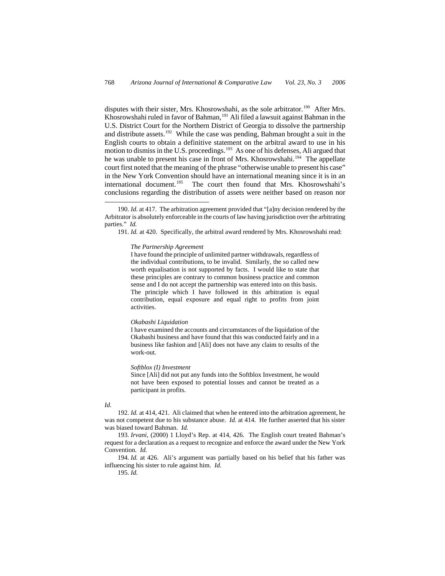disputes with their sister, Mrs. Khosrowshahi, as the sole arbitrator.<sup>[190](#page-21-0)</sup> After Mrs. Khosrowshahi ruled in favor of Bahman,[191](#page-21-1) Ali filed a lawsuit against Bahman in the U.S. District Court for the Northern District of Georgia to dissolve the partnership and distribute assets.<sup>[192](#page-21-2)</sup> While the case was pending, Bahman brought a suit in the English courts to obtain a definitive statement on the arbitral award to use in his motion to dismiss in the U.S. proceedings.<sup>[193](#page-21-3)</sup> As one of his defenses, Ali argued that he was unable to present his case in front of Mrs. Khosrowshahi.<sup>[194](#page-21-4)</sup> The appellate court first noted that the meaning of the phrase "otherwise unable to present his case" in the New York Convention should have an international meaning since it is in an international document.<sup>[195](#page-21-5)</sup> The court then found that Mrs. Khosrowshahi's conclusions regarding the distribution of assets were neither based on reason nor

#### *The Partnership Agreement*

I have found the principle of unlimited partner withdrawals, regardless of the individual contributions, to be invalid. Similarly, the so called new worth equalisation is not supported by facts. I would like to state that these principles are contrary to common business practice and common sense and I do not accept the partnership was entered into on this basis. The principle which I have followed in this arbitration is equal contribution, equal exposure and equal right to profits from joint activities.

#### *Okabashi Liquidation*

I have examined the accounts and circumstances of the liquidation of the Okabashi business and have found that this was conducted fairly and in a business like fashion and [Ali] does not have any claim to results of the work-out.

#### *Softblox (I) Investment*

Since [Ali] did not put any funds into the Softblox Investment, he would not have been exposed to potential losses and cannot be treated as a participant in profits.

### <span id="page-21-2"></span>*Id.*

1

192. *Id.* at 414, 421. Ali claimed that when he entered into the arbitration agreement, he was not competent due to his substance abuse. *Id.* at 414. He further asserted that his sister was biased toward Bahman. *Id.*

<span id="page-21-3"></span>193. *Irvani*, (2000) 1 Lloyd's Rep. at 414, 426. The English court treated Bahman's request for a declaration as a request to recognize and enforce the award under the New York Convention. *Id.*

<span id="page-21-5"></span><span id="page-21-4"></span>194. *Id.* at 426. Ali's argument was partially based on his belief that his father was influencing his sister to rule against him. *Id.*

195. *Id.*

<span id="page-21-1"></span><span id="page-21-0"></span><sup>190.</sup> *Id.* at 417. The arbitration agreement provided that "[a]ny decision rendered by the Arbitrator is absolutely enforceable in the courts of law having jurisdiction over the arbitrating parties." *Id.*

<sup>191.</sup> *Id.* at 420. Specifically, the arbitral award rendered by Mrs. Khosrowshahi read: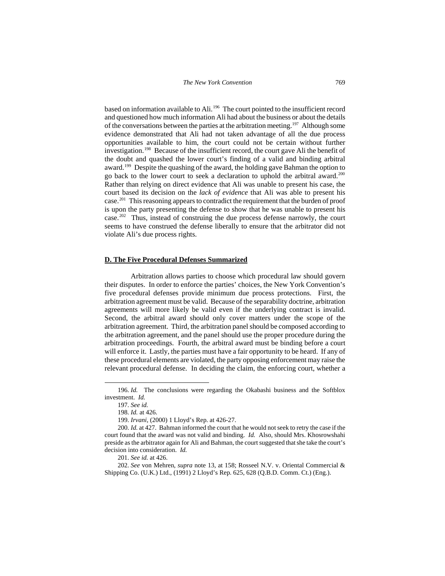based on information available to Ali.<sup>[196](#page-22-0)</sup> The court pointed to the insufficient record and questioned how much information Ali had about the business or about the details of the conversations between the parties at the arbitration meeting.<sup>[197](#page-22-1)</sup> Although some evidence demonstrated that Ali had not taken advantage of all the due process opportunities available to him, the court could not be certain without further investigation.<sup>[198](#page-22-2)</sup> Because of the insufficient record, the court gave Ali the benefit of the doubt and quashed the lower court's finding of a valid and binding arbitral award[.199](#page-22-3) Despite the quashing of the award, the holding gave Bahman the option to go back to the lower court to seek a declaration to uphold the arbitral award.[200](#page-22-4) Rather than relying on direct evidence that Ali was unable to present his case, the court based its decision on the *lack of evidence* that Ali was able to present his case.[201](#page-22-5) This reasoning appears to contradict the requirement that the burden of proof is upon the party presenting the defense to show that he was unable to present his case.<sup>[202](#page-22-6)</sup> Thus, instead of construing the due process defense narrowly, the court seems to have construed the defense liberally to ensure that the arbitrator did not violate Ali's due process rights.

## **D. The Five Procedural Defenses Summarized**

 Arbitration allows parties to choose which procedural law should govern their disputes. In order to enforce the parties' choices, the New York Convention's five procedural defenses provide minimum due process protections. First, the arbitration agreement must be valid. Because of the separability doctrine, arbitration agreements will more likely be valid even if the underlying contract is invalid. Second, the arbitral award should only cover matters under the scope of the arbitration agreement. Third, the arbitration panel should be composed according to the arbitration agreement, and the panel should use the proper procedure during the arbitration proceedings. Fourth, the arbitral award must be binding before a court will enforce it. Lastly, the parties must have a fair opportunity to be heard. If any of these procedural elements are violated, the party opposing enforcement may raise the relevant procedural defense. In deciding the claim, the enforcing court, whether a

-

<span id="page-22-1"></span><span id="page-22-0"></span><sup>196.</sup> *Id.* The conclusions were regarding the Okabashi business and the Softblox investment. *Id.*

<sup>197.</sup> *See id.*

<sup>198.</sup> *Id.* at 426.

<sup>199.</sup> *Irvani*, (2000) 1 Lloyd's Rep. at 426-27.

<span id="page-22-4"></span><span id="page-22-3"></span><span id="page-22-2"></span><sup>200.</sup> *Id.* at 427. Bahman informed the court that he would not seek to retry the case if the court found that the award was not valid and binding. *Id.* Also, should Mrs. Khosrowshahi preside as the arbitrator again for Ali and Bahman, the court suggested that she take the court's decision into consideration. *Id.*

<sup>201.</sup> *See id.* at 426.

<span id="page-22-6"></span><span id="page-22-5"></span><sup>202.</sup> *See* von Mehren, *supra* note 13, at 158; Rosseel N.V. v. Oriental Commercial & Shipping Co. (U.K.) Ltd., (1991) 2 Lloyd's Rep. 625, 628 (Q.B.D. Comm. Ct.) (Eng.).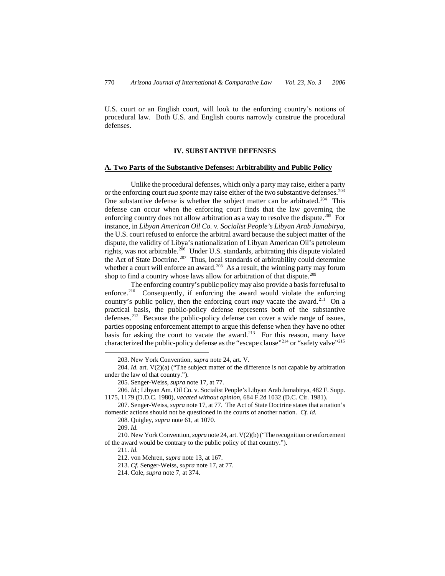U.S. court or an English court, will look to the enforcing country's notions of procedural law. Both U.S. and English courts narrowly construe the procedural defenses.

## **IV. SUBSTANTIVE DEFENSES**

# **A. Two Parts of the Substantive Defenses: Arbitrability and Public Policy**

 Unlike the procedural defenses, which only a party may raise, either a party or the enforcing court *sua sponte* may raise either of the two substantive defenses.<sup>[203](#page-23-0)</sup> One substantive defense is whether the subject matter can be arbitrated.<sup>[204](#page-23-1)</sup> This defense can occur when the enforcing court finds that the law governing the enforcing country does not allow arbitration as a way to resolve the dispute.<sup>[205](#page-23-2)</sup> For instance, in *Libyan American Oil Co. v. Socialist People's Libyan Arab Jamabirya*, the U.S. court refused to enforce the arbitral award because the subject matter of the dispute, the validity of Libya's nationalization of Libyan American Oil's petroleum rights, was not arbitrable.<sup>[206](#page-23-3)</sup> Under U.S. standards, arbitrating this dispute violated the Act of State Doctrine.<sup>[207](#page-23-4)</sup> Thus, local standards of arbitrability could determine whether a court will enforce an award.<sup>208</sup> As a result, the winning party may forum shop to find a country whose laws allow for arbitration of that dispute.<sup>[209](#page-23-6)</sup>

<span id="page-23-12"></span> The enforcing country's public policy may also provide a basis for refusal to enforce.<sup>[210](#page-23-7)</sup> Consequently, if enforcing the award would violate the enforcing country's public policy, then the enforcing court *may* vacate the award.<sup>[211](#page-23-8)</sup> On a practical basis, the public-policy defense represents both of the substantive defenses.<sup>[212](#page-23-9)</sup> Because the public-policy defense can cover a wide range of issues, parties opposing enforcement attempt to argue this defense when they have no other basis for asking the court to vacate the award.<sup>[213](#page-23-10)</sup> For this reason, many have characterized the public-policy defense as the "escape clause"<sup>[214](#page-23-11)</sup> or "safety valve"<sup>[215](#page-23-12)</sup>

1

<sup>203.</sup> New York Convention, *supra* note 24, art. V.

<span id="page-23-1"></span><span id="page-23-0"></span><sup>204.</sup> *Id.* art. V(2)(a) ("The subject matter of the difference is not capable by arbitration under the law of that country.").

<sup>205.</sup> Senger-Weiss, *supra* note 17, at 77.

<span id="page-23-3"></span><span id="page-23-2"></span><sup>206.</sup> *Id.*; Libyan Am. Oil Co. v. Socialist People's Libyan Arab Jamabirya, 482 F. Supp. 1175, 1179 (D.D.C. 1980), *vacated without opinion*, 684 F.2d 1032 (D.C. Cir. 1981).

<span id="page-23-5"></span><span id="page-23-4"></span><sup>207.</sup> Senger-Weiss, *supra* note 17, at 77. The Act of State Doctrine states that a nation's domestic actions should not be questioned in the courts of another nation. *Cf. id.*

<sup>208.</sup> Quigley, *supra* note 61, at 1070.

<sup>209.</sup> *Id.*

<span id="page-23-11"></span><span id="page-23-10"></span><span id="page-23-9"></span><span id="page-23-8"></span><span id="page-23-7"></span><span id="page-23-6"></span><sup>210.</sup> New York Convention, *supra* note 24, art. V(2)(b) ("The recognition or enforcement of the award would be contrary to the public policy of that country.").

<sup>211.</sup> *Id.*

<sup>212.</sup> von Mehren, *supra* note 13, at 167.

<sup>213.</sup> *Cf.* Senger-Weiss, *supra* note 17, at 77.

<sup>214.</sup> Cole, *supra* note 7, at 374.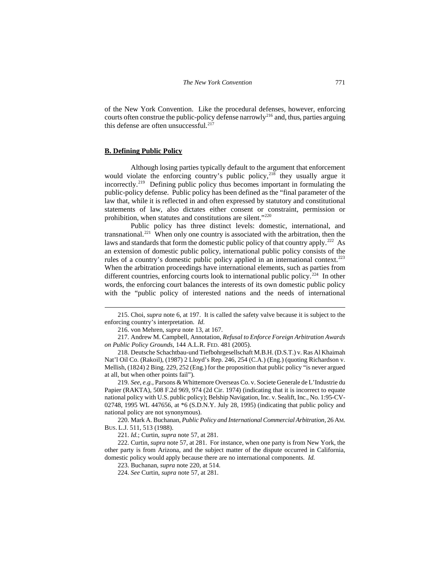of the New York Convention. Like the procedural defenses, however, enforcing courts often construe the public-policy defense narrowly<sup>216</sup> and, thus, parties arguing this defense are often unsuccessful. $217$ 

### **B. Defining Public Policy**

 Although losing parties typically default to the argument that enforcement would violate the enforcing country's public policy, $218$  they usually argue it incorrectly.[219](#page-24-3) Defining public policy thus becomes important in formulating the public-policy defense. Public policy has been defined as the "final parameter of the law that, while it is reflected in and often expressed by statutory and constitutional statements of law, also dictates either consent or constraint, permission or prohibition, when statutes and constitutions are silent."<sup>220</sup>

 Public policy has three distinct levels: domestic, international, and transnational.[221](#page-24-5) When only one country is associated with the arbitration, then the laws and standards that form the domestic public policy of that country apply.<sup>[222](#page-24-6)</sup> As an extension of domestic public policy, international public policy consists of the rules of a country's domestic public policy applied in an international context.<sup>[223](#page-24-7)</sup> When the arbitration proceedings have international elements, such as parties from different countries, enforcing courts look to international public policy.<sup>[224](#page-24-8)</sup> In other words, the enforcing court balances the interests of its own domestic public policy with the "public policy of interested nations and the needs of international

216. von Mehren, *supra* note 13, at 167.

 $\overline{\phantom{a}}$ 

<span id="page-24-1"></span><span id="page-24-0"></span>217. Andrew M. Campbell, Annotation, *Refusal to Enforce Foreign Arbitration Awards on Public Policy Grounds*, 144 A.L.R. FED. 481 (2005).

<span id="page-24-2"></span>218. Deutsche Schachtbau-und Tiefbohrgesellschaft M.B.H. (D.S.T.) v. Ras Al Khaimah Nat'l Oil Co. (Rakoil), (1987) 2 Lloyd's Rep. 246, 254 (C.A.) (Eng.) (quoting Richardson v. Mellish, (1824) 2 Bing. 229, 252 (Eng.) for the proposition that public policy "is never argued at all, but when other points fail").

<span id="page-24-3"></span>219. *See*, *e.g.*, Parsons & Whittemore Overseas Co. v. Societe Generale de L'Industrie du Papier (RAKTA), 508 F.2d 969, 974 (2d Cir. 1974) (indicating that it is incorrect to equate national policy with U.S. public policy); Belship Navigation, Inc. v. Sealift, Inc., No. 1:95-CV-02748, 1995 WL 447656, at \*6 (S.D.N.Y. July 28, 1995) (indicating that public policy and national policy are not synonymous).

<span id="page-24-4"></span>220. Mark A. Buchanan, *Public Policy and International Commercial Arbitration*, 26 AM. BUS. L.J. 511, 513 (1988).

221. *Id.*; Curtin, *supra* note 57, at 281.

<span id="page-24-8"></span><span id="page-24-7"></span><span id="page-24-6"></span><span id="page-24-5"></span>222. Curtin, *supra* note 57, at 281. For instance, when one party is from New York, the other party is from Arizona, and the subject matter of the dispute occurred in California, domestic policy would apply because there are no international components. *Id.*

224. *See* Curtin, *supra* note 57, at 281.

<sup>215.</sup> Choi, *supra* note 6, at 197. It is called the safety valve because it is subject to the enforcing country's interpretation. *Id.*

<sup>223.</sup> Buchanan, *supra* note 220, at 514.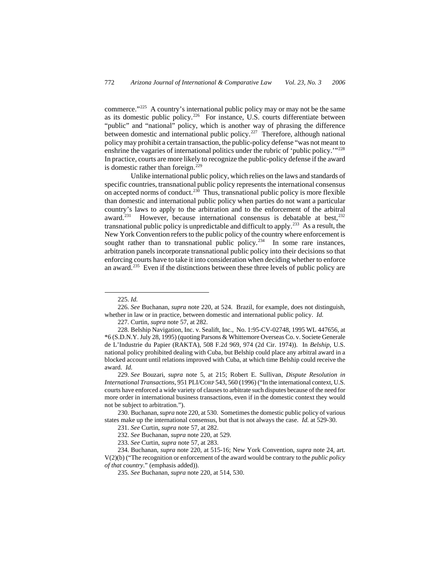commerce."[225](#page-25-0) A country's international public policy may or may not be the same as its domestic public policy.<sup>[226](#page-25-1)</sup> For instance, U.S. courts differentiate between "public" and "national" policy, which is another way of phrasing the difference between domestic and international public policy.<sup>[227](#page-25-2)</sup> Therefore, although national policy may prohibit a certain transaction, the public-policy defense "was not meant to enshrine the vagaries of international politics under the rubric of 'public policy.'"<sup>[228](#page-25-3)</sup> In practice, courts are more likely to recognize the public-policy defense if the award is domestic rather than foreign.<sup>[229](#page-25-4)</sup>

 Unlike international public policy, which relies on the laws and standards of specific countries, transnational public policy represents the international consensus on accepted norms of conduct.<sup>[230](#page-25-5)</sup> Thus, transnational public policy is more flexible than domestic and international public policy when parties do not want a particular country's laws to apply to the arbitration and to the enforcement of the arbitral award.<sup>231</sup> However, because international consensus is debatable at best.<sup>232</sup> However, because international consensus is debatable at best,  $232$ transnational public policy is unpredictable and difficult to apply.<sup>[233](#page-25-8)</sup> As a result, the New York Convention refers to the public policy of the country where enforcement is sought rather than to transnational public policy.<sup>[234](#page-25-9)</sup> In some rare instances, arbitration panels incorporate transnational public policy into their decisions so that enforcing courts have to take it into consideration when deciding whether to enforce an award.[235](#page-25-10) Even if the distinctions between these three levels of public policy are

1

<sup>225.</sup> *Id.*

<span id="page-25-1"></span><span id="page-25-0"></span><sup>226.</sup> *See* Buchanan, *supra* note 220, at 524. Brazil, for example, does not distinguish, whether in law or in practice, between domestic and international public policy. *Id.*

<sup>227.</sup> Curtin, *supra* note 57, at 282.

<span id="page-25-3"></span><span id="page-25-2"></span><sup>228.</sup> Belship Navigation, Inc. v. Sealift, Inc., No. 1:95-CV-02748, 1995 WL 447656, at \*6 (S.D.N.Y. July 28, 1995) (quoting Parsons & Whittemore Overseas Co. v. Societe Generale de L'Industrie du Papier (RAKTA), 508 F.2d 969, 974 (2d Cir. 1974)). In *Belship*, U.S. national policy prohibited dealing with Cuba, but Belship could place any arbitral award in a blocked account until relations improved with Cuba, at which time Belship could receive the award. *Id.*

<span id="page-25-4"></span><sup>229.</sup> *See* Bouzari, *supra* note 5, at 215; Robert E. Sullivan, *Dispute Resolution in International Transactions*, 951 PLI/CORP 543, 560 (1996) ("In the international context, U.S. courts have enforced a wide variety of clauses to arbitrate such disputes because of the need for more order in international business transactions, even if in the domestic context they would not be subject to arbitration.").

<span id="page-25-6"></span><span id="page-25-5"></span><sup>230.</sup> Buchanan, *supra* note 220, at 530. Sometimes the domestic public policy of various states make up the international consensus, but that is not always the case. *Id.* at 529-30.

<sup>231.</sup> *See* Curtin, *supra* note 57, at 282.

<sup>232.</sup> *See* Buchanan, *supra* note 220, at 529.

<sup>233.</sup> *See* Curtin, *supra* note 57, at 283.

<span id="page-25-10"></span><span id="page-25-9"></span><span id="page-25-8"></span><span id="page-25-7"></span><sup>234.</sup> Buchanan, *supra* note 220, at 515-16; New York Convention, *supra* note 24, art. V(2)(b) ("The recognition or enforcement of the award would be contrary to the *public policy of that country*." (emphasis added)).

<sup>235.</sup> *See* Buchanan, *supra* note 220, at 514, 530.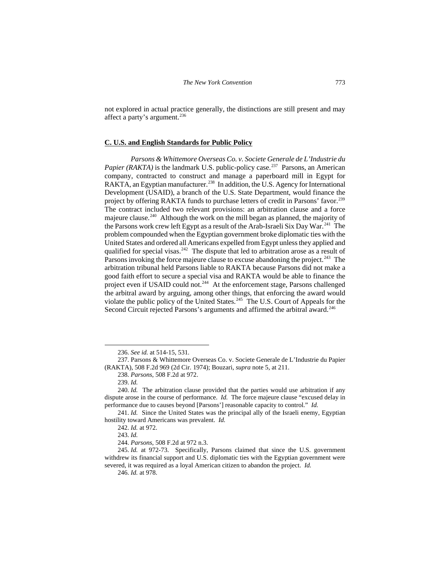not explored in actual practice generally, the distinctions are still present and may affect a party's argument.<sup>[236](#page-26-0)</sup>

### **C. U.S. and English Standards for Public Policy**

 *Parsons & Whittemore Overseas Co. v. Societe Generale de L'Industrie du Papier (RAKTA)* is the landmark U.S. public-policy case.<sup>[237](#page-26-1)</sup> Parsons, an American company, contracted to construct and manage a paperboard mill in Egypt for RAKTA, an Egyptian manufacturer.<sup>238</sup> In addition, the U.S. Agency for International Development (USAID), a branch of the U.S. State Department, would finance the project by offering RAKTA funds to purchase letters of credit in Parsons' favor.<sup>[239](#page-26-3)</sup> The contract included two relevant provisions: an arbitration clause and a force majeure clause.<sup>[240](#page-26-4)</sup> Although the work on the mill began as planned, the majority of the Parsons work crew left Egypt as a result of the Arab-Israeli Six Day War.<sup>[241](#page-26-5)</sup> The problem compounded when the Egyptian government broke diplomatic ties with the United States and ordered all Americans expelled from Egypt unless they applied and qualified for special visas.<sup>[242](#page-26-6)</sup> The dispute that led to arbitration arose as a result of Parsons invoking the force majeure clause to excuse abandoning the project.<sup>[243](#page-26-7)</sup> The arbitration tribunal held Parsons liable to RAKTA because Parsons did not make a good faith effort to secure a special visa and RAKTA would be able to finance the project even if USAID could not.<sup>[244](#page-26-8)</sup> At the enforcement stage, Parsons challenged the arbitral award by arguing, among other things, that enforcing the award would violate the public policy of the United States.<sup>[245](#page-26-9)</sup> The U.S. Court of Appeals for the Second Circuit rejected Parsons's arguments and affirmed the arbitral award.<sup>[246](#page-26-10)</sup>

 $\overline{\phantom{a}}$ 

246. *Id.* at 978.

<sup>236.</sup> *See id.* at 514-15, 531.

<span id="page-26-2"></span><span id="page-26-1"></span><span id="page-26-0"></span><sup>237.</sup> Parsons & Whittemore Overseas Co. v. Societe Generale de L'Industrie du Papier (RAKTA), 508 F.2d 969 (2d Cir. 1974); Bouzari, *supra* note 5, at 211.

<sup>238.</sup> *Parsons*, 508 F.2d at 972.

<sup>239.</sup> *Id.*

<span id="page-26-4"></span><span id="page-26-3"></span><sup>240.</sup> *Id.* The arbitration clause provided that the parties would use arbitration if any dispute arose in the course of performance. *Id.* The force majeure clause "excused delay in performance due to causes beyond [Parsons'] reasonable capacity to control." *Id.*

<span id="page-26-6"></span><span id="page-26-5"></span><sup>241.</sup> *Id.* Since the United States was the principal ally of the Israeli enemy, Egyptian hostility toward Americans was prevalent. *Id.*

<sup>242.</sup> *Id.* at 972.

<sup>243.</sup> *Id.*

<sup>244.</sup> *Parsons*, 508 F.2d at 972 n.3.

<span id="page-26-10"></span><span id="page-26-9"></span><span id="page-26-8"></span><span id="page-26-7"></span><sup>245.</sup> *Id.* at 972-73. Specifically, Parsons claimed that since the U.S. government withdrew its financial support and U.S. diplomatic ties with the Egyptian government were severed, it was required as a loyal American citizen to abandon the project. *Id.*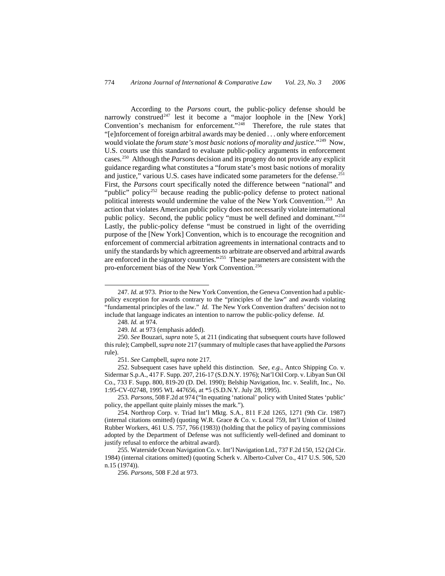According to the *Parsons* court, the public-policy defense should be narrowly construed<sup>[247](#page-27-0)</sup> lest it become a "major loophole in the [New York] Convention's mechanism for enforcement."<sup>[248](#page-27-1)</sup> Therefore, the rule states that "[e]nforcement of foreign arbitral awards may be denied . . . only where enforcement would violate the *forum state's most basic notions of morality and justice*."<sup>[249](#page-27-2)</sup> Now, U.S. courts use this standard to evaluate public-policy arguments in enforcement cases.[250](#page-27-3) Although the *Parsons* decision and its progeny do not provide any explicit guidance regarding what constitutes a "forum state's most basic notions of morality and justice," various U.S. cases have indicated some parameters for the defense.<sup>[251](#page-27-4)</sup> First, the *Parsons* court specifically noted the difference between "national" and "public" policy<sup>[252](#page-27-5)</sup> because reading the public-policy defense to protect national political interests would undermine the value of the New York Convention.<sup>[253](#page-27-6)</sup> An action that violates American public policy does not necessarily violate international public policy. Second, the public policy "must be well defined and dominant."[254](#page-27-7) Lastly, the public-policy defense "must be construed in light of the overriding purpose of the [New York] Convention, which is to encourage the recognition and enforcement of commercial arbitration agreements in international contracts and to unify the standards by which agreements to arbitrate are observed and arbitral awards are enforced in the signatory countries."[255](#page-27-8) These parameters are consistent with the pro-enforcement bias of the New York Convention.<sup>[256](#page-27-9)</sup>

 $\overline{\phantom{a}}$ 

<span id="page-27-5"></span><span id="page-27-4"></span>252. Subsequent cases have upheld this distinction. S*ee*, *e.g.*, Antco Shipping Co. v. Sidermar S.p.A., 417 F. Supp. 207, 216-17 (S.D.N.Y. 1976); Nat'l Oil Corp. v. Libyan Sun Oil Co., 733 F. Supp. 800, 819-20 (D. Del. 1990); Belship Navigation, Inc. v. Sealift, Inc., No. 1:95-CV-02748, 1995 WL 447656, at \*5 (S.D.N.Y. July 28, 1995).

256. *Parsons*, 508 F.2d at 973.

<span id="page-27-0"></span><sup>247.</sup> *Id.* at 973. Prior to the New York Convention, the Geneva Convention had a publicpolicy exception for awards contrary to the "principles of the law" and awards violating "fundamental principles of the law." *Id.* The New York Convention drafters' decision not to include that language indicates an intention to narrow the public-policy defense. *Id.*

<sup>248.</sup> *Id.* at 974.

<sup>249.</sup> *Id.* at 973 (emphasis added).

<span id="page-27-3"></span><span id="page-27-2"></span><span id="page-27-1"></span><sup>250.</sup> *See* Bouzari, *supra* note 5, at 211 (indicating that subsequent courts have followed this rule); Campbell, *supra* note 217 (summary of multiple cases that have applied the *Parsons* rule).

<sup>251.</sup> *See* Campbell, *supra* note 217.

<span id="page-27-6"></span><sup>253.</sup> *Parsons*, 508 F.2d at 974 ("In equating 'national' policy with United States 'public' policy, the appellant quite plainly misses the mark.").

<span id="page-27-7"></span><sup>254.</sup> Northrop Corp. v. Triad Int'l Mktg. S.A., 811 F.2d 1265, 1271 (9th Cir. 1987) (internal citations omitted) (quoting W.R. Grace & Co. v. Local 759, Int'l Union of United Rubber Workers, 461 U.S. 757, 766 (1983)) (holding that the policy of paying commissions adopted by the Department of Defense was not sufficiently well-defined and dominant to justify refusal to enforce the arbitral award).

<span id="page-27-9"></span><span id="page-27-8"></span><sup>255.</sup> Waterside Ocean Navigation Co. v. Int'l Navigation Ltd., 737 F.2d 150, 152 (2d Cir. 1984) (internal citations omitted) (quoting Scherk v. Alberto-Culver Co., 417 U.S. 506, 520 n.15 (1974)).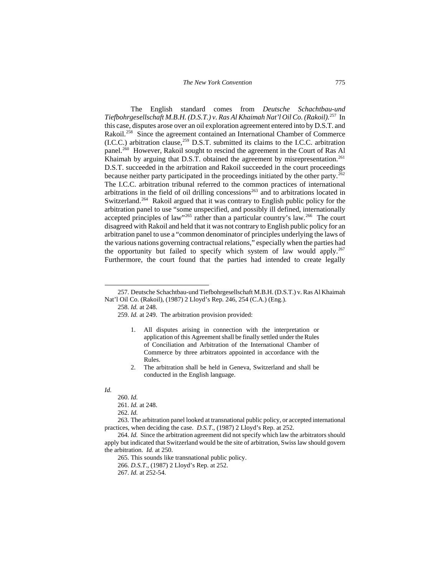The English standard comes from *Deutsche Schachtbau-und Tiefbohrgesellschaft M.B.H. (D.S.T.) v. Ras Al Khaimah Nat'l Oil Co. (Rakoil)*. [257](#page-28-0) In this case, disputes arose over an oil exploration agreement entered into by D.S.T. and Rakoil.[258](#page-28-1) Since the agreement contained an International Chamber of Commerce (I.C.C.) arbitration clause,<sup>[259](#page-28-2)</sup> D.S.T. submitted its claims to the I.C.C. arbitration panel.<sup>[260](#page-28-3)</sup> However, Rakoil sought to rescind the agreement in the Court of Ras Al Khaimah by arguing that D.S.T. obtained the agreement by misrepresentation.<sup>[261](#page-28-4)</sup> D.S.T. succeeded in the arbitration and Rakoil succeeded in the court proceedings because neither party participated in the proceedings initiated by the other party.<sup>[262](#page-28-5)</sup> The I.C.C. arbitration tribunal referred to the common practices of international arbitrations in the field of oil drilling concessions<sup>[263](#page-28-6)</sup> and to arbitrations located in Switzerland.<sup>[264](#page-28-7)</sup> Rakoil argued that it was contrary to English public policy for the arbitration panel to use "some unspecified, and possibly ill defined, internationally accepted principles of law"<sup>[265](#page-28-8)</sup> rather than a particular country's law.<sup>[266](#page-28-9)</sup> The court disagreed with Rakoil and held that it was not contrary to English public policy for an arbitration panel to use a "common denominator of principles underlying the laws of the various nations governing contractual relations," especially when the parties had the opportunity but failed to specify which system of law would apply.<sup>[267](#page-28-10)</sup> Furthermore, the court found that the parties had intended to create legally

- 1. All disputes arising in connection with the interpretation or application of this Agreement shall be finally settled under the Rules of Conciliation and Arbitration of the International Chamber of Commerce by three arbitrators appointed in accordance with the Rules.
- 2. The arbitration shall be held in Geneva, Switzerland and shall be conducted in the English language.

<span id="page-28-4"></span><span id="page-28-3"></span>*Id.* 

-

- 262. *Id.*
- <span id="page-28-6"></span><span id="page-28-5"></span>263. The arbitration panel looked at transnational public policy, or accepted international practices, when deciding the case. *D.S.T*., (1987) 2 Lloyd's Rep. at 252.

265. This sounds like transnational public policy.

266. *D.S.T*., (1987) 2 Lloyd's Rep. at 252.

267. *Id.* at 252-54.

<span id="page-28-2"></span><span id="page-28-1"></span><span id="page-28-0"></span><sup>257.</sup> Deutsche Schachtbau-und Tiefbohrgesellschaft M.B.H. (D.S.T.) v. Ras Al Khaimah Nat'l Oil Co. (Rakoil), (1987) 2 Lloyd's Rep. 246, 254 (C.A.) (Eng.).

<sup>258.</sup> *Id.* at 248.

<sup>259.</sup> *Id.* at 249. The arbitration provision provided:

<sup>260.</sup> *Id.*

<sup>261.</sup> *Id.* at 248.

<span id="page-28-10"></span><span id="page-28-9"></span><span id="page-28-8"></span><span id="page-28-7"></span><sup>264.</sup> *Id.* Since the arbitration agreement did not specify which law the arbitrators should apply but indicated that Switzerland would be the site of arbitration, Swiss law should govern the arbitration. *Id.* at 250.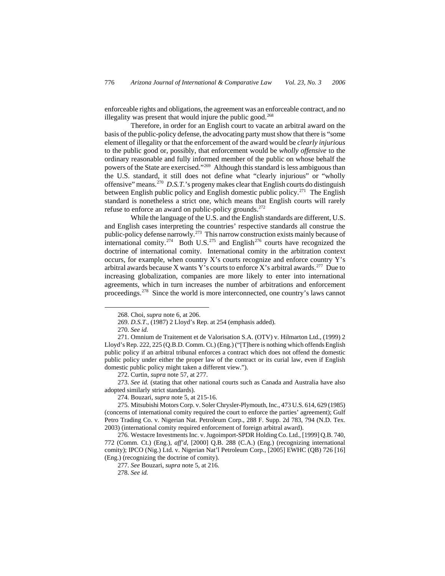enforceable rights and obligations, the agreement was an enforceable contract, and no illegality was present that would injure the public good. $268$ 

 Therefore, in order for an English court to vacate an arbitral award on the basis of the public-policy defense, the advocating party must show that there is "some element of illegality or that the enforcement of the award would be *clearly injurious* to the public good or, possibly, that enforcement would be *wholly offensive* to the ordinary reasonable and fully informed member of the public on whose behalf the powers of the State are exercised."[269](#page-29-1) Although this standard is less ambiguous than the U.S. standard, it still does not define what "clearly injurious" or "wholly offensive" means.[270](#page-29-2) *D.S.T.*'s progeny makes clear that English courts do distinguish between English public policy and English domestic public policy.<sup>[271](#page-29-3)</sup> The English standard is nonetheless a strict one, which means that English courts will rarely refuse to enforce an award on public-policy grounds.<sup>[272](#page-29-4)</sup>

 While the language of the U.S. and the English standards are different, U.S. and English cases interpreting the countries' respective standards all construe the public-policy defense narrowly.<sup>[273](#page-29-5)</sup> This narrow construction exists mainly because of international comity.<sup>[274](#page-29-6)</sup> Both U.S.<sup>[275](#page-29-7)</sup> and English<sup>[276](#page-29-8)</sup> courts have recognized the doctrine of international comity. International comity in the arbitration context occurs, for example, when country X's courts recognize and enforce country Y's arbitral awards because X wants Y's courts to enforce X's arbitral awards.<sup>277</sup> Due to increasing globalization, companies are more likely to enter into international agreements, which in turn increases the number of arbitrations and enforcement proceedings.[278](#page-29-10) Since the world is more interconnected, one country's laws cannot

<span id="page-29-0"></span> $\overline{\phantom{a}}$ 

<span id="page-29-5"></span><span id="page-29-4"></span>273. *See id.* (stating that other national courts such as Canada and Australia have also adopted similarly strict standards).

274. Bouzari, *supra* note 5, at 215-16.

277. *See* Bouzari, *supra* note 5, at 216.

<sup>268.</sup> Choi, *supra* note 6, at 206.

<sup>269.</sup> *D.S.T*., (1987) 2 Lloyd's Rep. at 254 (emphasis added).

<sup>270.</sup> *See id.*

<span id="page-29-3"></span><span id="page-29-2"></span><span id="page-29-1"></span><sup>271.</sup> Omnium de Traitement et de Valorisation S.A. (OTV) v. Hilmarton Ltd., (1999) 2 Lloyd's Rep. 222, 225 (Q.B.D. Comm. Ct.) (Eng.) ("[T]here is nothing which offends English public policy if an arbitral tribunal enforces a contract which does not offend the domestic public policy under either the proper law of the contract or its curial law, even if English domestic public policy might taken a different view.").

<sup>272.</sup> Curtin, *supra* note 57, at 277.

<span id="page-29-7"></span><span id="page-29-6"></span><sup>275.</sup> Mitsubishi Motors Corp. v. Soler Chrysler-Plymouth, Inc., 473 U.S. 614, 629 (1985) (concerns of international comity required the court to enforce the parties' agreement); Gulf Petro Trading Co. v. Nigerian Nat. Petroleum Corp., 288 F. Supp. 2d 783, 794 (N.D. Tex. 2003) (international comity required enforcement of foreign arbitral award).

<span id="page-29-10"></span><span id="page-29-9"></span><span id="page-29-8"></span><sup>276.</sup> Westacre Investments Inc. v. Jugoimport-SPDR Holding Co. Ltd., [1999] Q.B. 740, 772 (Comm. Ct.) (Eng.), *aff'd*, [2000] Q.B. 288 (C.A.) (Eng.) (recognizing international comity); IPCO (Nig.) Ltd. v. Nigerian Nat'l Petroleum Corp., [2005] EWHC (QB) 726 [16] (Eng.) (recognizing the doctrine of comity).

<sup>278.</sup> *See id.*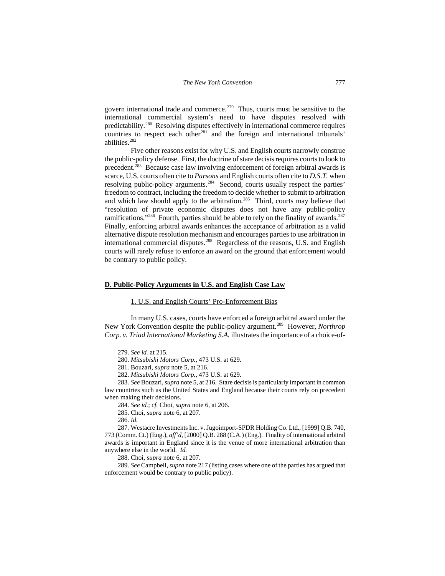govern international trade and commerce.<sup>[279](#page-30-0)</sup> Thus, courts must be sensitive to the international commercial system's need to have disputes resolved with predictability.[280](#page-30-1) Resolving disputes effectively in international commerce requires countries to respect each other<sup>[281](#page-30-2)</sup> and the foreign and international tribunals' abilities.[282](#page-30-3)

 Five other reasons exist for why U.S. and English courts narrowly construe the public-policy defense. First, the doctrine of stare decisis requires courts to look to precedent.[283](#page-30-4) Because case law involving enforcement of foreign arbitral awards is scarce, U.S. courts often cite to *Parsons* and English courts often cite to *D.S.T.* when resolving public-policy arguments.<sup>[284](#page-30-5)</sup> Second, courts usually respect the parties' freedom to contract, including the freedom to decide whether to submit to arbitration and which law should apply to the arbitration.<sup>[285](#page-30-6)</sup> Third, courts may believe that "resolution of private economic disputes does not have any public-policy ramifications."<sup>[286](#page-30-7)</sup> Fourth, parties should be able to rely on the finality of awards.<sup>[287](#page-30-8)</sup> Finally, enforcing arbitral awards enhances the acceptance of arbitration as a valid alternative dispute resolution mechanism and encourages parties to use arbitration in international commercial disputes.<sup>[288](#page-30-9)</sup> Regardless of the reasons, U.S. and English courts will rarely refuse to enforce an award on the ground that enforcement would be contrary to public policy.

## **D. Public-Policy Arguments in U.S. and English Case Law**

#### 1. U.S. and English Courts' Pro-Enforcement Bias

 In many U.S. cases, courts have enforced a foreign arbitral award under the New York Convention despite the public-policy argument.[289](#page-30-10) However, *Northrop Corp. v. Triad International Marketing S.A.* illustrates the importance of a choice-of-

<span id="page-30-1"></span><span id="page-30-0"></span> $\overline{\phantom{a}}$ 

<sup>279.</sup> *See id.* at 215.

<sup>280.</sup> *Mitsubishi Motors Corp.*, 473 U.S. at 629.

<sup>281.</sup> Bouzari, *supra* note 5, at 216.

<sup>282.</sup> *Mitsubishi Motors Corp.*, 473 U.S. at 629.

<span id="page-30-4"></span><span id="page-30-3"></span><span id="page-30-2"></span><sup>283.</sup> *See* Bouzari, *supra* note 5, at 216. Stare decisis is particularly important in common law countries such as the United States and England because their courts rely on precedent when making their decisions.

<sup>284.</sup> *See id.*; *cf.* Choi, *supra* note 6, at 206.

<sup>285.</sup> Choi, *supra* note 6, at 207.

<sup>286.</sup> *Id.*

<span id="page-30-8"></span><span id="page-30-7"></span><span id="page-30-6"></span><span id="page-30-5"></span><sup>287.</sup> Westacre Investments Inc. v. Jugoimport-SPDR Holding Co. Ltd., [1999] Q.B. 740, 773 (Comm. Ct.) (Eng.), *aff'd*, [2000] Q.B. 288 (C.A.) (Eng.). Finality of international arbitral awards is important in England since it is the venue of more international arbitration than anywhere else in the world. *Id.*

<sup>288.</sup> Choi, *supra* note 6, at 207.

<span id="page-30-10"></span><span id="page-30-9"></span><sup>289.</sup> *See* Campbell, *supra* note 217 (listing cases where one of the parties has argued that enforcement would be contrary to public policy).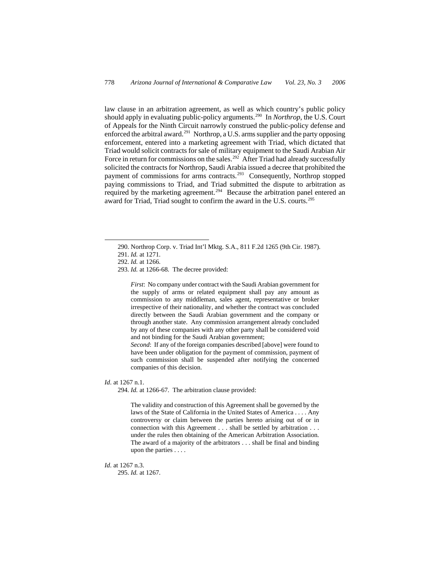law clause in an arbitration agreement, as well as which country's public policy should apply in evaluating public-policy arguments[.290](#page-31-0) In *Northrop*, the U.S. Court of Appeals for the Ninth Circuit narrowly construed the public-policy defense and enforced the arbitral award.<sup>[291](#page-31-1)</sup> Northrop, a U.S. arms supplier and the party opposing enforcement, entered into a marketing agreement with Triad, which dictated that Triad would solicit contracts for sale of military equipment to the Saudi Arabian Air Force in return for commissions on the sales.<sup>[292](#page-31-2)</sup> After Triad had already successfully solicited the contracts for Northrop, Saudi Arabia issued a decree that prohibited the payment of commissions for arms contracts.<sup>[293](#page-31-3)</sup> Consequently, Northrop stopped paying commissions to Triad, and Triad submitted the dispute to arbitration as required by the marketing agreement.<sup>[294](#page-31-4)</sup> Because the arbitration panel entered an award for Triad, Triad sought to confirm the award in the U.S. courts.<sup>[295](#page-31-5)</sup>

<span id="page-31-3"></span><span id="page-31-2"></span><span id="page-31-1"></span><span id="page-31-0"></span> $\overline{\phantom{a}}$ 

*First*: No company under contract with the Saudi Arabian government for the supply of arms or related equipment shall pay any amount as commission to any middleman, sales agent, representative or broker irrespective of their nationality, and whether the contract was concluded directly between the Saudi Arabian government and the company or through another state. Any commission arrangement already concluded by any of these companies with any other party shall be considered void and not binding for the Saudi Arabian government;

*Second*: If any of the foreign companies described [above] were found to have been under obligation for the payment of commission, payment of such commission shall be suspended after notifying the concerned companies of this decision.

<span id="page-31-4"></span>*Id*. at 1267 n.1.

294. *Id.* at 1266-67. The arbitration clause provided:

The validity and construction of this Agreement shall be governed by the laws of the State of California in the United States of America . . . . Any controversy or claim between the parties hereto arising out of or in connection with this Agreement . . . shall be settled by arbitration . . . under the rules then obtaining of the American Arbitration Association. The award of a majority of the arbitrators . . . shall be final and binding upon the parties . . . .

<span id="page-31-5"></span>*Id*. at 1267 n.3. 295. *Id.* at 1267.

<sup>290.</sup> Northrop Corp. v. Triad Int'l Mktg. S.A., 811 F.2d 1265 (9th Cir. 1987).

<sup>291.</sup> *Id.* at 1271.

<sup>292.</sup> *Id.* at 1266.

<sup>293.</sup> *Id.* at 1266-68. The decree provided: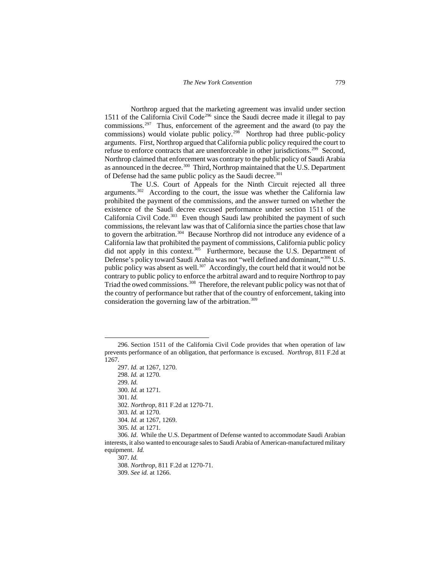Northrop argued that the marketing agreement was invalid under section 1511 of the California Civil Code<sup>[296](#page-32-0)</sup> since the Saudi decree made it illegal to pay commissions.[297](#page-32-1) Thus, enforcement of the agreement and the award (to pay the commissions) would violate public policy.<sup>[298](#page-32-2)</sup> Northrop had three public-policy arguments. First, Northrop argued that California public policy required the court to refuse to enforce contracts that are unenforceable in other jurisdictions.<sup>[299](#page-32-3)</sup> Second, Northrop claimed that enforcement was contrary to the public policy of Saudi Arabia as announced in the decree.<sup>[300](#page-32-4)</sup> Third, Northrop maintained that the U.S. Department of Defense had the same public policy as the Saudi decree.<sup>[301](#page-32-5)</sup>

 The U.S. Court of Appeals for the Ninth Circuit rejected all three arguments.<sup>[302](#page-32-6)</sup> According to the court, the issue was whether the California law prohibited the payment of the commissions, and the answer turned on whether the existence of the Saudi decree excused performance under section 1511 of the California Civil Code.<sup>[303](#page-32-7)</sup> Even though Saudi law prohibited the payment of such commissions, the relevant law was that of California since the parties chose that law to govern the arbitration.<sup>[304](#page-32-8)</sup> Because Northrop did not introduce any evidence of a California law that prohibited the payment of commissions, California public policy did not apply in this context.<sup>[305](#page-32-9)</sup> Furthermore, because the U.S. Department of Defense's policy toward Saudi Arabia was not "well defined and dominant,"[306](#page-32-10) U.S. public policy was absent as well.<sup>[307](#page-32-11)</sup> Accordingly, the court held that it would not be contrary to public policy to enforce the arbitral award and to require Northrop to pay Triad the owed commissions.[308](#page-32-12) Therefore, the relevant public policy was not that of the country of performance but rather that of the country of enforcement, taking into consideration the governing law of the arbitration.<sup>[309](#page-32-13)</sup>

301. *Id.*

 $\overline{\phantom{a}}$ 

303. *Id.* at 1270.

<span id="page-32-13"></span><span id="page-32-12"></span><span id="page-32-11"></span><span id="page-32-10"></span><span id="page-32-9"></span><span id="page-32-8"></span><span id="page-32-7"></span><span id="page-32-6"></span><span id="page-32-5"></span>306. *Id*. While the U.S. Department of Defense wanted to accommodate Saudi Arabian interests, it also wanted to encourage sales to Saudi Arabia of American-manufactured military equipment. *Id.*

308. *Northrop*, 811 F.2d at 1270-71.

309. *See id.* at 1266.

<span id="page-32-4"></span><span id="page-32-3"></span><span id="page-32-2"></span><span id="page-32-1"></span><span id="page-32-0"></span><sup>296.</sup> Section 1511 of the California Civil Code provides that when operation of law prevents performance of an obligation, that performance is excused. *Northrop*, 811 F.2d at 1267.

<sup>297.</sup> *Id.* at 1267, 1270.

<sup>298.</sup> *Id.* at 1270.

<sup>299.</sup> *Id.*

<sup>300.</sup> *Id.* at 1271.

<sup>302.</sup> *Northrop*, 811 F.2d at 1270-71.

<sup>304.</sup> *Id.* at 1267, 1269.

<sup>305.</sup> *Id.* at 1271.

<sup>307.</sup> *Id.*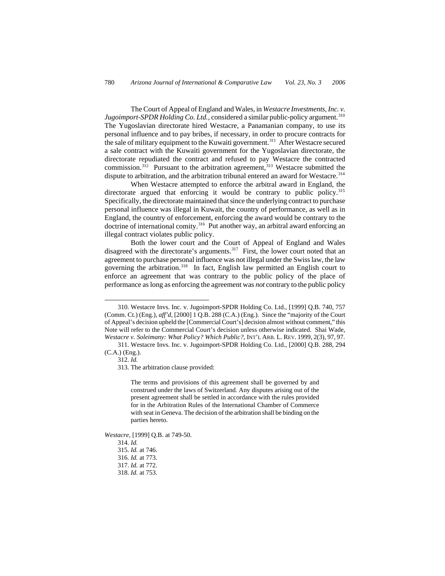The Court of Appeal of England and Wales, in *Westacre Investments, Inc. v. Jugoimport-SPDR Holding Co. Ltd.*, considered a similar public-policy argument.<sup>[310](#page-33-0)</sup> The Yugoslavian directorate hired Westacre, a Panamanian company, to use its personal influence and to pay bribes, if necessary, in order to procure contracts for the sale of military equipment to the Kuwaiti government.<sup>[311](#page-33-1)</sup> After Westacre secured a sale contract with the Kuwaiti government for the Yugoslavian directorate, the directorate repudiated the contract and refused to pay Westacre the contracted commission. $312$  Pursuant to the arbitration agreement, $313$  Westacre submitted the dispute to arbitration, and the arbitration tribunal entered an award for Westacre.<sup>[314](#page-33-4)</sup>

 When Westacre attempted to enforce the arbitral award in England, the directorate argued that enforcing it would be contrary to public policy.<sup>[315](#page-33-5)</sup> Specifically, the directorate maintained that since the underlying contract to purchase personal influence was illegal in Kuwait, the country of performance, as well as in England, the country of enforcement, enforcing the award would be contrary to the doctrine of international comity.<sup>[316](#page-33-6)</sup> Put another way, an arbitral award enforcing an illegal contract violates public policy.

 Both the lower court and the Court of Appeal of England and Wales disagreed with the directorate's arguments. $317$  First, the lower court noted that an agreement to purchase personal influence was not illegal under the Swiss law, the law governing the arbitration.<sup>[318](#page-33-8)</sup> In fact, English law permitted an English court to enforce an agreement that was contrary to the public policy of the place of performance as long as enforcing the agreement was *not* contrary to the public policy

312. *Id.*

 $\overline{\phantom{a}}$ 

The terms and provisions of this agreement shall be governed by and construed under the laws of Switzerland. Any disputes arising out of the present agreement shall be settled in accordance with the rules provided for in the Arbitration Rules of the International Chamber of Commerce with seat in Geneva. The decision of the arbitration shall be binding on the parties hereto.

<span id="page-33-8"></span><span id="page-33-7"></span><span id="page-33-6"></span><span id="page-33-5"></span><span id="page-33-4"></span>*Westacre*, [1999] Q.B. at 749-50. 314. *Id.* 315. *Id.* at 746. 316. *Id.* at 773. 317. *Id.* at 772. 318. *Id.* at 753.

<span id="page-33-0"></span><sup>310.</sup> Westacre Invs. Inc. v. Jugoimport-SPDR Holding Co. Ltd., [1999] Q.B. 740, 757 (Comm. Ct.) (Eng.), *aff'd*, [2000] 1 Q.B. 288 (C.A.) (Eng.). Since the "majority of the Court of Appeal's decision upheld the [Commercial Court's] decision almost without comment," this Note will refer to the Commercial Court's decision unless otherwise indicated. Shai Wade, *Westacre v. Soleimany: What Policy? Which Public?*, INT'L ARB. L. REV. 1999, 2(3), 97, 97.

<span id="page-33-3"></span><span id="page-33-2"></span><span id="page-33-1"></span><sup>311.</sup> Westacre Invs. Inc. v. Jugoimport-SPDR Holding Co. Ltd., [2000] Q.B. 288, 294 (C.A.) (Eng.).

<sup>313.</sup> The arbitration clause provided: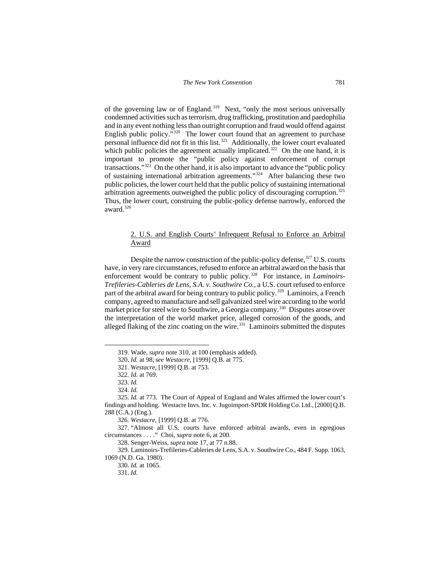of the governing law or of England.[319](#page-34-0) Next, "only the most serious universally condemned activities such as terrorism, drug trafficking, prostitution and paedophilia and in any event nothing less than outright corruption and fraud would offend against English public policy." $320$  The lower court found that an agreement to purchase personal influence did not fit in this list.<sup>[321](#page-34-2)</sup> Additionally, the lower court evaluated which public policies the agreement actually implicated.<sup>[322](#page-34-3)</sup> On the one hand, it is important to promote the "public policy against enforcement of corrupt transactions." $32\overline{3}$  On the other hand, it is also important to advance the "public policy of sustaining international arbitration agreements."[324](#page-34-5) After balancing these two public policies, the lower court held that the public policy of sustaining international arbitration agreements outweighed the public policy of discouraging corruption.[325](#page-34-6) Thus, the lower court, construing the public-policy defense narrowly, enforced the award[.326](#page-34-7)

# 2. U.S. and English Courts' Infrequent Refusal to Enforce an Arbitral Award

Despite the narrow construction of the public-policy defense,  $327$  U.S. courts have, in very rare circumstances, refused to enforce an arbitral award on the basis that enforcement would be contrary to public policy.<sup>[328](#page-34-9)</sup> For instance, in *Laminoirs*-*Trefileries-Cableries de Lens, S.A. v. Southwire Co.*, a U.S. court refused to enforce part of the arbitral award for being contrary to public policy.<sup>[329](#page-34-10)</sup> Laminoirs, a French company, agreed to manufacture and sell galvanized steel wire according to the world market price for steel wire to Southwire, a Georgia company.[330](#page-34-11) Disputes arose over the interpretation of the world market price, alleged corrosion of the goods, and alleged flaking of the zinc coating on the wire. $331$  Laminoirs submitted the disputes

<span id="page-34-2"></span><span id="page-34-1"></span><span id="page-34-0"></span> $\overline{\phantom{a}}$ 

<sup>319.</sup> Wade, *supra* note 310, at 100 (emphasis added).

<sup>320.</sup> *Id.* at 98;*see Westacre*, [1999] Q.B. at 775.

<sup>321.</sup> *Westacre*, [1999] Q.B. at 753.

<sup>322.</sup> *Id.* at 769.

<sup>323.</sup> *Id.*

<sup>324.</sup> *Id.*

<span id="page-34-6"></span><span id="page-34-5"></span><span id="page-34-4"></span><span id="page-34-3"></span><sup>325.</sup> *Id.* at 773. The Court of Appeal of England and Wales affirmed the lower court's findings and holding. Westacre Invs. Inc. v. Jugoimport-SPDR Holding Co. Ltd.*,* [2000] Q.B. 288 (C.A.) (Eng.).

<sup>326.</sup> *Westacre*, [1999] Q.B. at 776.

<span id="page-34-9"></span><span id="page-34-8"></span><span id="page-34-7"></span><sup>327. &</sup>quot;Almost all U.S. courts have enforced arbitral awards, even in egregious circumstances . . . ." Choi, *supra* note 6, at 200.

<sup>328.</sup> Senger-Weiss, *supra* note 17, at 77 n.88.

<span id="page-34-12"></span><span id="page-34-11"></span><span id="page-34-10"></span><sup>329.</sup> Laminoirs-Trefileries-Cableries de Lens, S.A. v. Southwire Co., 484 F. Supp. 1063, 1069 (N.D. Ga. 1980).

<sup>330.</sup> *Id.* at 1065.

<sup>331.</sup> *Id.*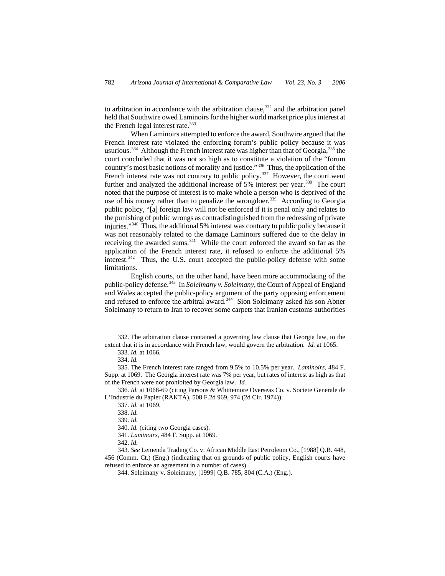to arbitration in accordance with the arbitration clause, $332$  and the arbitration panel held that Southwire owed Laminoirs for the higher world market price plus interest at the French legal interest rate.<sup>[333](#page-35-1)</sup>

 When Laminoirs attempted to enforce the award, Southwire argued that the French interest rate violated the enforcing forum's public policy because it was usurious.<sup>[334](#page-35-2)</sup> Although the French interest rate was higher than that of Georgia,<sup>[335](#page-35-3)</sup> the court concluded that it was not so high as to constitute a violation of the "forum country's most basic notions of morality and justice."<sup>[336](#page-35-4)</sup> Thus, the application of the French interest rate was not contrary to public policy.<sup>[337](#page-35-5)</sup> However, the court went further and analyzed the additional increase of 5% interest per year.<sup>338</sup> The court noted that the purpose of interest is to make whole a person who is deprived of the use of his money rather than to penalize the wrongdoer.<sup>[339](#page-35-7)</sup> According to Georgia public policy, "[a] foreign law will not be enforced if it is penal only and relates to the punishing of public wrongs as contradistinguished from the redressing of private injuries.["340](#page-35-8) Thus, the additional 5% interest was contrary to public policy because it was not reasonably related to the damage Laminoirs suffered due to the delay in receiving the awarded sums.<sup>[341](#page-35-9)</sup> While the court enforced the award so far as the application of the French interest rate, it refused to enforce the additional 5% interest.<sup>[342](#page-35-10)</sup> Thus, the U.S. court accepted the public-policy defense with some limitations.

 English courts, on the other hand, have been more accommodating of the public-policy defense.[343](#page-35-11) In *Soleimany v. Soleimany*, the Court of Appeal of England and Wales accepted the public-policy argument of the party opposing enforcement and refused to enforce the arbitral award.<sup>[344](#page-35-12)</sup> Sion Soleimany asked his son Abner Soleimany to return to Iran to recover some carpets that Iranian customs authorities

 $\overline{a}$ 

<span id="page-35-1"></span><span id="page-35-0"></span><sup>332.</sup> The arbitration clause contained a governing law clause that Georgia law, to the extent that it is in accordance with French law, would govern the arbitration. *Id.* at 1065.

<sup>333.</sup> *Id.* at 1066.

<sup>334.</sup> *Id.*

<span id="page-35-3"></span><span id="page-35-2"></span><sup>335.</sup> The French interest rate ranged from 9.5% to 10.5% per year. *Laminoirs*, 484 F. Supp. at 1069. The Georgia interest rate was 7% per year, but rates of interest as high as that of the French were not prohibited by Georgia law. *Id.*

<span id="page-35-7"></span><span id="page-35-6"></span><span id="page-35-5"></span><span id="page-35-4"></span><sup>336.</sup> *Id.* at 1068-69 (citing Parsons & Whittemore Overseas Co. v. Societe Generale de L'Industrie du Papier (RAKTA), 508 F.2d 969, 974 (2d Cir. 1974)).

<sup>337.</sup> *Id.* at 1069.

<sup>338.</sup> *Id.*

<sup>339.</sup> *Id.* 

<sup>340.</sup> *Id.* (citing two Georgia cases).

<sup>341.</sup> *Laminoirs*, 484 F. Supp. at 1069.

<sup>342.</sup> *Id.*

<span id="page-35-12"></span><span id="page-35-11"></span><span id="page-35-10"></span><span id="page-35-9"></span><span id="page-35-8"></span><sup>343.</sup> *See* Lemenda Trading Co. v. African Middle East Petroleum Co., [1988] Q.B. 448, 456 (Comm. Ct.) (Eng.) (indicating that on grounds of public policy, English courts have refused to enforce an agreement in a number of cases).

<sup>344.</sup> Soleimany v. Soleimany, [1999] Q.B. 785, 804 (C.A.) (Eng.).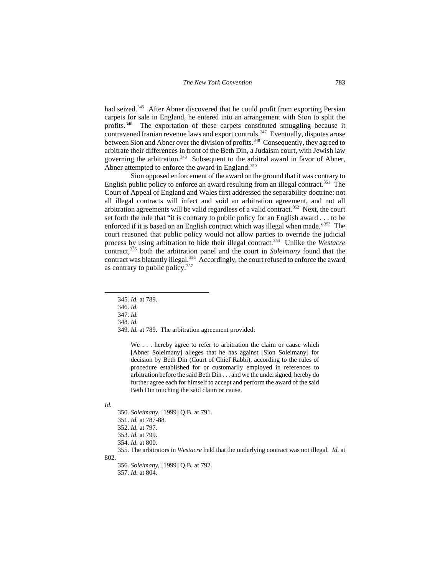had seized.<sup>[345](#page-36-0)</sup> After Abner discovered that he could profit from exporting Persian carpets for sale in England, he entered into an arrangement with Sion to split the profits.[346](#page-36-1) The exportation of these carpets constituted smuggling because it contravened Iranian revenue laws and export controls.<sup>[347](#page-36-2)</sup> Eventually, disputes arose between Sion and Abner over the division of profits.<sup>[348](#page-36-3)</sup> Consequently, they agreed to arbitrate their differences in front of the Beth Din, a Judaism court, with Jewish law governing the arbitration.<sup>[349](#page-36-4)</sup> Subsequent to the arbitral award in favor of Abner, Abner attempted to enforce the award in England.<sup>350</sup>

 Sion opposed enforcement of the award on the ground that it was contrary to English public policy to enforce an award resulting from an illegal contract.<sup>351</sup> The Court of Appeal of England and Wales first addressed the separability doctrine: not all illegal contracts will infect and void an arbitration agreement, and not all arbitration agreements will be valid regardless of a valid contract.<sup>[352](#page-36-7)</sup> Next, the court set forth the rule that "it is contrary to public policy for an English award . . . to be enforced if it is based on an English contract which was illegal when made."[353](#page-36-8) The court reasoned that public policy would not allow parties to override the judicial process by using arbitration to hide their illegal contract.[354](#page-36-9) Unlike the *Westacre* contract,[355](#page-36-10) both the arbitration panel and the court in *Soleimany* found that the contract was blatantly illegal.<sup>[356](#page-36-11)</sup> Accordingly, the court refused to enforce the award as contrary to public policy.<sup>[357](#page-36-12)</sup>

We . . . hereby agree to refer to arbitration the claim or cause which [Abner Soleimany] alleges that he has against [Sion Soleimany] for decision by Beth Din (Court of Chief Rabbi), according to the rules of procedure established for or customarily employed in references to arbitration before the said Beth Din . . . and we the undersigned, hereby do further agree each for himself to accept and perform the award of the said Beth Din touching the said claim or cause.

### <span id="page-36-7"></span><span id="page-36-6"></span><span id="page-36-5"></span>*Id.*

<span id="page-36-4"></span><span id="page-36-3"></span><span id="page-36-2"></span><span id="page-36-1"></span><span id="page-36-0"></span> $\overline{a}$ 

357. *Id.* at 804.

<sup>345.</sup> *Id.* at 789.

<sup>346.</sup> *Id.*

<sup>347.</sup> *Id.*

<sup>348.</sup> *Id.*

<sup>349.</sup> *Id.* at 789. The arbitration agreement provided:

<sup>350.</sup> *Soleimany*, [1999] Q.B. at 791.

<sup>351.</sup> *Id.* at 787-88.

<sup>352.</sup> *Id.* at 797.

<sup>353.</sup> *Id.* at 799.

<sup>354.</sup> *Id.* at 800.

<span id="page-36-12"></span><span id="page-36-11"></span><span id="page-36-10"></span><span id="page-36-9"></span><span id="page-36-8"></span><sup>355.</sup> The arbitrators in *Westacre* held that the underlying contract was not illegal. *Id.* at 802.

<sup>356.</sup> *Soleimany*, [1999] Q.B. at 792.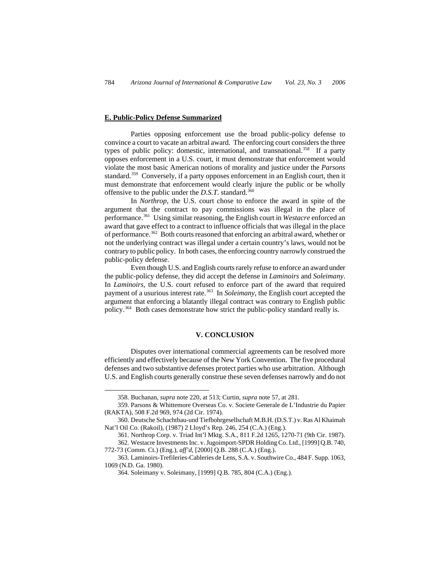## **E. Public-Policy Defense Summarized**

 Parties opposing enforcement use the broad public-policy defense to convince a court to vacate an arbitral award. The enforcing court considers the three types of public policy: domestic, international, and transnational.<sup>[358](#page-37-0)</sup> If a party opposes enforcement in a U.S. court, it must demonstrate that enforcement would violate the most basic American notions of morality and justice under the *Parsons* standard.[359](#page-37-1) Conversely, if a party opposes enforcement in an English court, then it must demonstrate that enforcement would clearly injure the public or be wholly offensive to the public under the  $D.S.T.$  standard.<sup>[360](#page-37-2)</sup>

 In *Northrop*, the U.S. court chose to enforce the award in spite of the argument that the contract to pay commissions was illegal in the place of performance.[361](#page-37-3) Using similar reasoning, the English court in *Westacre* enforced an award that gave effect to a contract to influence officials that was illegal in the place of performance.[362](#page-37-4) Both courts reasoned that enforcing an arbitral award, whether or not the underlying contract was illegal under a certain country's laws, would not be contrary to public policy. In both cases, the enforcing country narrowly construed the public-policy defense.

 Even though U.S. and English courts rarely refuse to enforce an award under the public-policy defense, they did accept the defense in *Laminoirs* and *Soleimany*. In *Laminoirs*, the U.S. court refused to enforce part of the award that required payment of a usurious interest rate.<sup>[363](#page-37-5)</sup> In *Soleimany*, the English court accepted the argument that enforcing a blatantly illegal contract was contrary to English public policy.[364](#page-37-6) Both cases demonstrate how strict the public-policy standard really is.

## **V. CONCLUSION**

 Disputes over international commercial agreements can be resolved more efficiently and effectively because of the New York Convention. The five procedural defenses and two substantive defenses protect parties who use arbitration. Although U.S. and English courts generally construe these seven defenses narrowly and do not

 $\overline{\phantom{a}}$ 

<sup>358.</sup> Buchanan, *supra* note 220, at 513; Curtin, *supra* note 57, at 281.

<span id="page-37-1"></span><span id="page-37-0"></span><sup>359.</sup> Parsons & Whittemore Overseas Co. v. Societe Generale de L'Industrie du Papier (RAKTA), 508 F.2d 969, 974 (2d Cir. 1974).

<span id="page-37-2"></span><sup>360.</sup> Deutsche Schachtbau-und Tiefbohrgesellschaft M.B.H. (D.S.T.) v. Ras Al Khaimah Nat'l Oil Co. (Rakoil), (1987) 2 Lloyd's Rep. 246, 254 (C.A.) (Eng.).

<span id="page-37-4"></span><span id="page-37-3"></span><sup>361.</sup> Northrop Corp. v. Triad Int'l Mktg. S.A., 811 F.2d 1265, 1270-71 (9th Cir. 1987). 362. Westacre Investments Inc. v. Jugoimport-SPDR Holding Co. Ltd., [1999] Q.B. 740, 772-73 (Comm. Ct.) (Eng.), *aff'd*, [2000] Q.B. 288 (C.A.) (Eng.).

<span id="page-37-6"></span><span id="page-37-5"></span><sup>363.</sup> Laminoirs-Trefileries-Cableries de Lens, S.A. v. Southwire Co., 484 F. Supp. 1063, 1069 (N.D. Ga. 1980).

<sup>364.</sup> Soleimany v. Soleimany, [1999] Q.B. 785, 804 (C.A.) (Eng.).